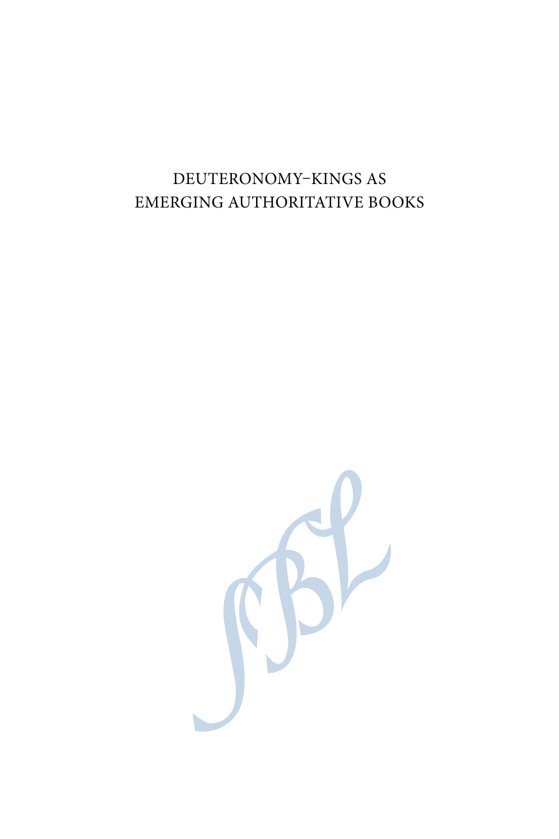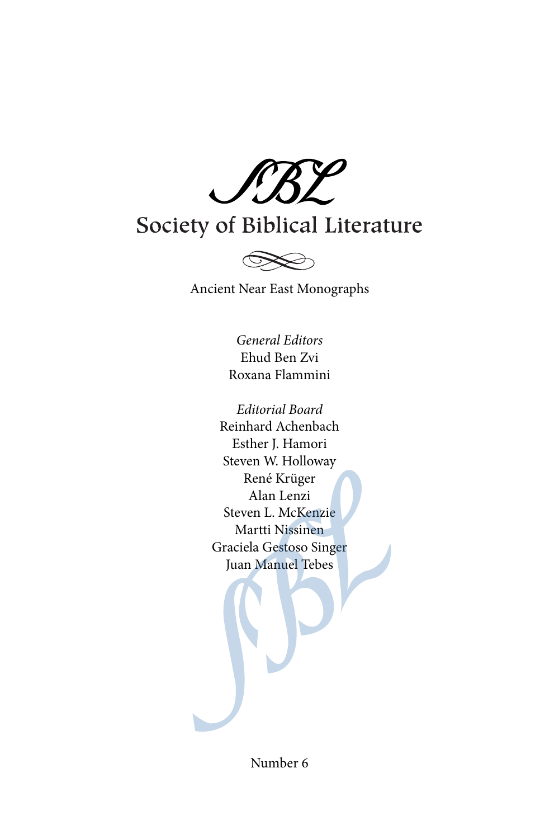REL

# Society of Biblical Literature



Ancient Near East Monographs

*General Editors* Ehud Ben Zvi Roxana Flammini

*Editorial Board* Reinhard Achenbach Esther J. Hamori Steven W. Holloway René Krüger Alan Lenzi Steven L. McKenzie Martti Nissinen Graciela Gestoso Singer Juan Manuel Tebes

Number 6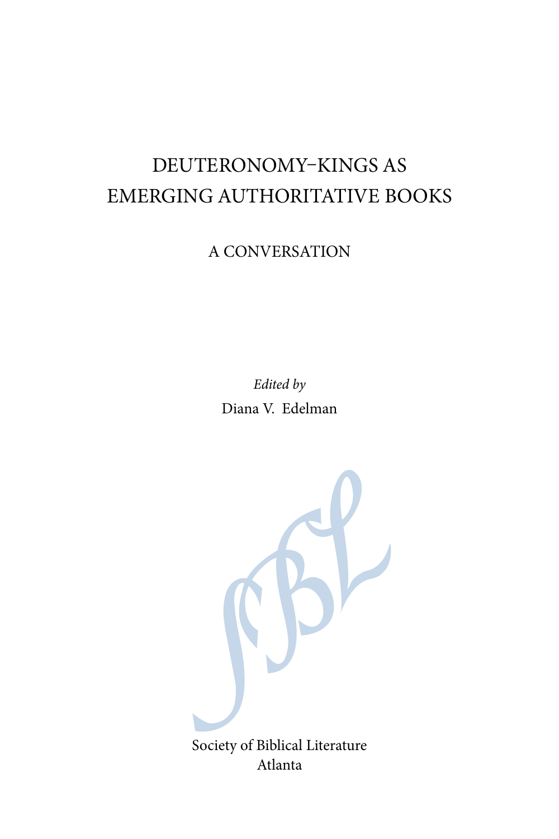A CONVERSATION

*Edited by* Diana V. Edelman



Atlanta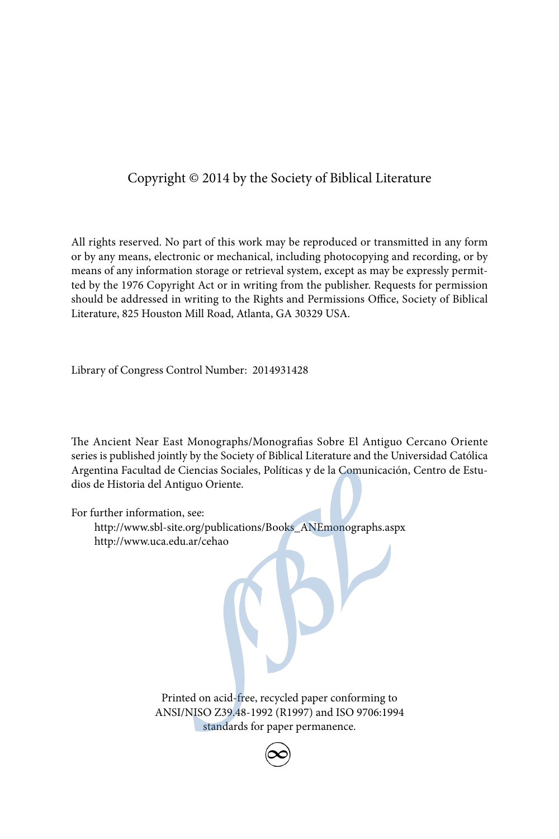# Copyright © 2014 by the Society of Biblical Literature

All rights reserved. No part of this work may be reproduced or transmitted in any form or by any means, electronic or mechanical, including photocopying and recording, or by means of any information storage or retrieval system, except as may be expressly permitted by the 1976 Copyright Act or in writing from the publisher. Requests for permission should be addressed in writing to the Rights and Permissions Office, Society of Biblical Literature, 825 Houston Mill Road, Atlanta, GA 30329 USA.

Library of Congress Control Number: 2014931428

The Ancient Near East Monographs/Monografias Sobre El Antiguo Cercano Oriente series is published jointly by the Society of Biblical Literature and the Universidad Católica Argentina Facultad de Ciencias Sociales, Políticas y de la Comunicación, Centro de Estudios de Historia del Antiguo Oriente.

For further information, see:

http://www.sbl-site.org/publications/Books\_ANEmonographs.aspx http://www.uca.edu.ar/cehao

> Printed on acid-free, recycled paper conforming to ANSI/NISO Z39.48-1992 (R1997) and ISO 9706:1994 standards for paper permanence.

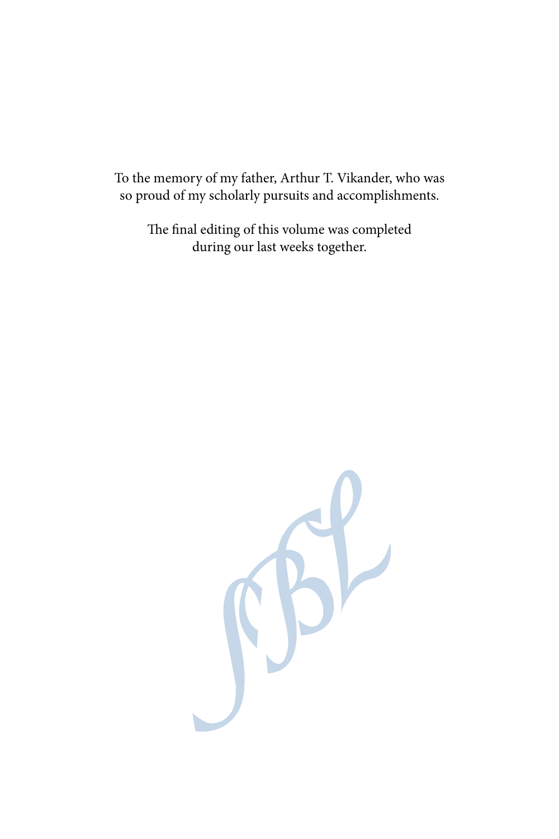To the memory of my father, Arthur T. Vikander, who was so proud of my scholarly pursuits and accomplishments.

The final editing of this volume was completed during our last weeks together.

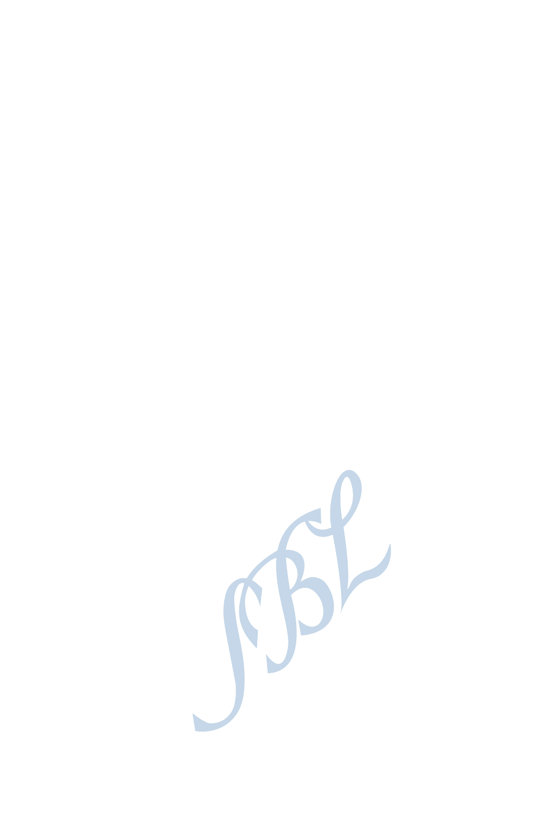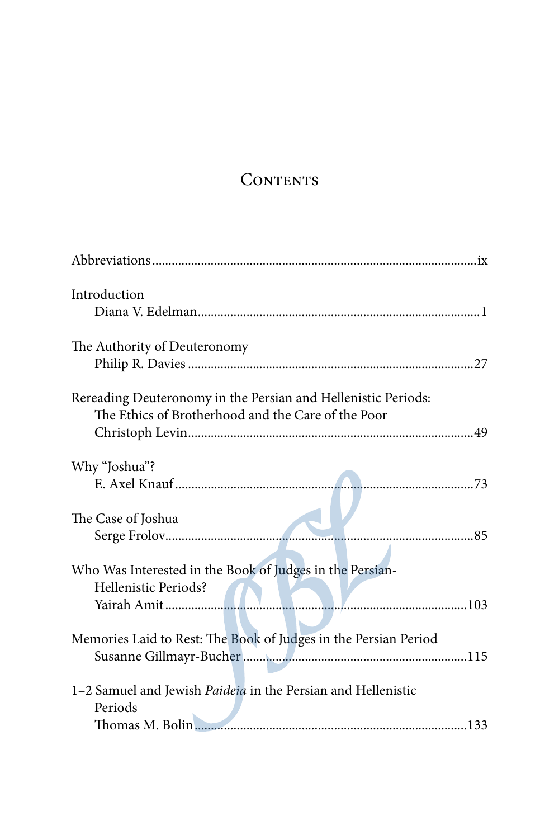# **CONTENTS**

| Introduction                                                                                                        |  |
|---------------------------------------------------------------------------------------------------------------------|--|
| The Authority of Deuteronomy                                                                                        |  |
| Rereading Deuteronomy in the Persian and Hellenistic Periods:<br>The Ethics of Brotherhood and the Care of the Poor |  |
| Why "Joshua"?                                                                                                       |  |
| The Case of Joshua                                                                                                  |  |
| Who Was Interested in the Book of Judges in the Persian-                                                            |  |
| Hellenistic Periods?                                                                                                |  |
| Memories Laid to Rest: The Book of Judges in the Persian Period                                                     |  |
| 1-2 Samuel and Jewish Paideia in the Persian and Hellenistic<br>Periods                                             |  |
|                                                                                                                     |  |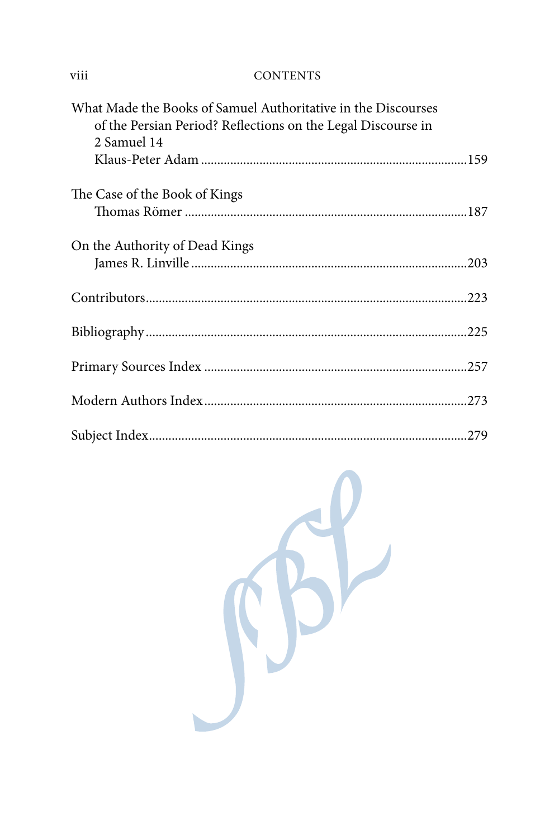## viii CONTENTS

| What Made the Books of Samuel Authoritative in the Discourses<br>of the Persian Period? Reflections on the Legal Discourse in<br>2 Samuel 14 |  |
|----------------------------------------------------------------------------------------------------------------------------------------------|--|
|                                                                                                                                              |  |
| The Case of the Book of Kings                                                                                                                |  |
| On the Authority of Dead Kings                                                                                                               |  |
|                                                                                                                                              |  |
|                                                                                                                                              |  |
|                                                                                                                                              |  |
|                                                                                                                                              |  |
|                                                                                                                                              |  |

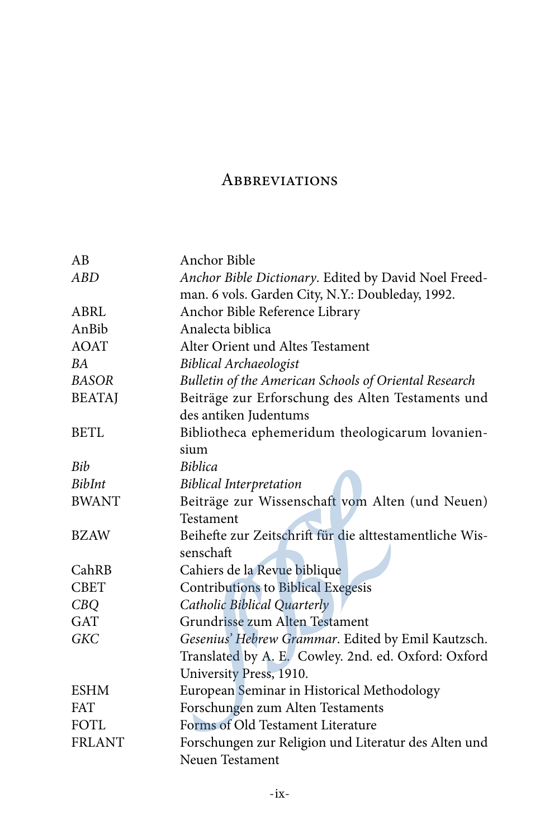# **ABBREVIATIONS**

| AB            | Anchor Bible                                            |
|---------------|---------------------------------------------------------|
| ABD           | Anchor Bible Dictionary. Edited by David Noel Freed-    |
|               | man. 6 vols. Garden City, N.Y.: Doubleday, 1992.        |
| ABRL          | Anchor Bible Reference Library                          |
| AnBib         | Analecta biblica                                        |
| <b>AOAT</b>   | Alter Orient und Altes Testament                        |
| BA            | <b>Biblical Archaeologist</b>                           |
| <b>BASOR</b>  | Bulletin of the American Schools of Oriental Research   |
| <b>BEATAJ</b> | Beiträge zur Erforschung des Alten Testaments und       |
|               | des antiken Judentums                                   |
| <b>BETL</b>   | Bibliotheca ephemeridum theologicarum lovanien-         |
|               | sium                                                    |
| Bib           | <b>Biblica</b>                                          |
| BibInt        | <b>Biblical Interpretation</b>                          |
| <b>BWANT</b>  | Beiträge zur Wissenschaft vom Alten (und Neuen)         |
|               | Testament                                               |
| <b>BZAW</b>   | Beihefte zur Zeitschrift für die alttestamentliche Wis- |
|               | senschaft                                               |
| CahRB         | Cahiers de la Revue biblique                            |
| <b>CBET</b>   | <b>Contributions to Biblical Exegesis</b>               |
| CBQ           | Catholic Biblical Quarterly                             |
| <b>GAT</b>    | Grundrisse zum Alten Testament                          |
| <b>GKC</b>    | Gesenius' Hebrew Grammar. Edited by Emil Kautzsch.      |
|               | Translated by A. E. Cowley. 2nd. ed. Oxford: Oxford     |
|               | University Press, 1910.                                 |
| <b>ESHM</b>   | European Seminar in Historical Methodology              |
| <b>FAT</b>    | Forschungen zum Alten Testaments                        |
| FOTL          | Forms of Old Testament Literature                       |
| <b>FRLANT</b> | Forschungen zur Religion und Literatur des Alten und    |
|               | Neuen Testament                                         |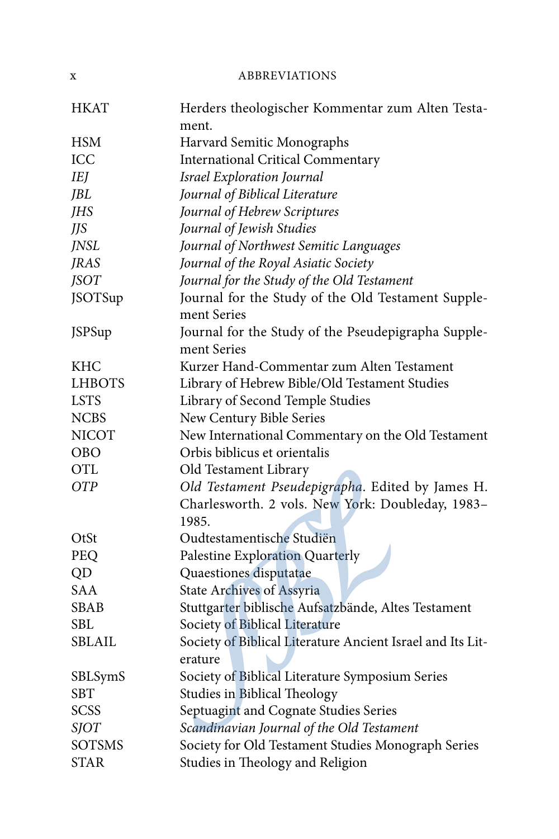## x ABBREVIATIONS

| <b>HKAT</b>    | Herders theologischer Kommentar zum Alten Testa-<br>ment.  |
|----------------|------------------------------------------------------------|
| <b>HSM</b>     | Harvard Semitic Monographs                                 |
| ICC            | <b>International Critical Commentary</b>                   |
| <b>IEJ</b>     | <b>Israel Exploration Journal</b>                          |
| <b>JBL</b>     | Journal of Biblical Literature                             |
| <b>JHS</b>     | Journal of Hebrew Scriptures                               |
| JJS            | Journal of Jewish Studies                                  |
| <b>JNSL</b>    | Journal of Northwest Semitic Languages                     |
| JRAS           | Journal of the Royal Asiatic Society                       |
| <b>JSOT</b>    | Journal for the Study of the Old Testament                 |
| <b>JSOTSup</b> | Journal for the Study of the Old Testament Supple-         |
|                | ment Series                                                |
| <b>JSPSup</b>  | Journal for the Study of the Pseudepigrapha Supple-        |
|                | ment Series                                                |
| KHC            | Kurzer Hand-Commentar zum Alten Testament                  |
| <b>LHBOTS</b>  | Library of Hebrew Bible/Old Testament Studies              |
| <b>LSTS</b>    | Library of Second Temple Studies                           |
| <b>NCBS</b>    | New Century Bible Series                                   |
| <b>NICOT</b>   | New International Commentary on the Old Testament          |
| <b>OBO</b>     | Orbis biblicus et orientalis                               |
| OTL            | Old Testament Library                                      |
| <b>OTP</b>     | Old Testament Pseudepigrapha. Edited by James H.           |
|                | Charlesworth. 2 vols. New York: Doubleday, 1983-           |
|                | 1985.                                                      |
| OtSt           | Oudtestamentische Studiën                                  |
| PEQ            | Palestine Exploration Quarterly                            |
| QD             | Quaestiones disputatae                                     |
| <b>SAA</b>     | <b>State Archives of Assyria</b>                           |
| <b>SBAB</b>    | Stuttgarter biblische Aufsatzbände, Altes Testament        |
| <b>SBL</b>     | Society of Biblical Literature                             |
| <b>SBLAIL</b>  | Society of Biblical Literature Ancient Israel and Its Lit- |
|                | erature                                                    |
| SBLSymS        | Society of Biblical Literature Symposium Series            |
| <b>SBT</b>     | <b>Studies in Biblical Theology</b>                        |
| SCSS           | Septuagint and Cognate Studies Series                      |
| <b>SJOT</b>    | Scandinavian Journal of the Old Testament                  |
| SOTSMS         | Society for Old Testament Studies Monograph Series         |
| <b>STAR</b>    | Studies in Theology and Religion                           |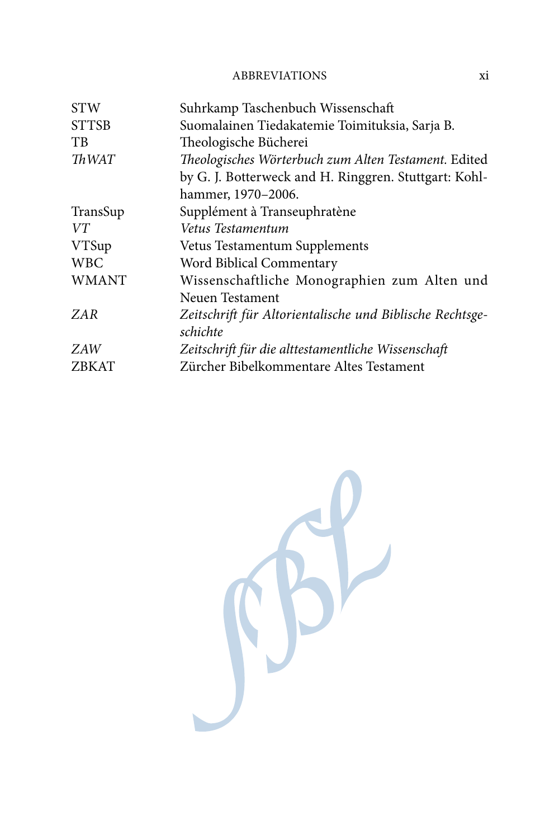## ABBREVIATIONS xi

| <b>STW</b>   | Suhrkamp Taschenbuch Wissenschaft                        |
|--------------|----------------------------------------------------------|
| <b>STTSB</b> | Suomalainen Tiedakatemie Toimituksia, Sarja B.           |
| TB.          | Theologische Bücherei                                    |
| <b>ThWAT</b> | Theologisches Wörterbuch zum Alten Testament. Edited     |
|              | by G. J. Botterweck and H. Ringgren. Stuttgart: Kohl-    |
|              | hammer, 1970–2006.                                       |
| TransSup     | Supplément à Transeuphratène                             |
| VT           | Vetus Testamentum                                        |
| <b>VTSup</b> | Vetus Testamentum Supplements                            |
| <b>WBC</b>   | Word Biblical Commentary                                 |
| <b>WMANT</b> | Wissenschaftliche Monographien zum Alten und             |
|              | Neuen Testament                                          |
| ZAR          | Zeitschrift für Altorientalische und Biblische Rechtsge- |
|              | schichte                                                 |
| ZAW          | Zeitschrift für die alttestamentliche Wissenschaft       |
| ZBKAT        | Zürcher Bibelkommentare Altes Testament                  |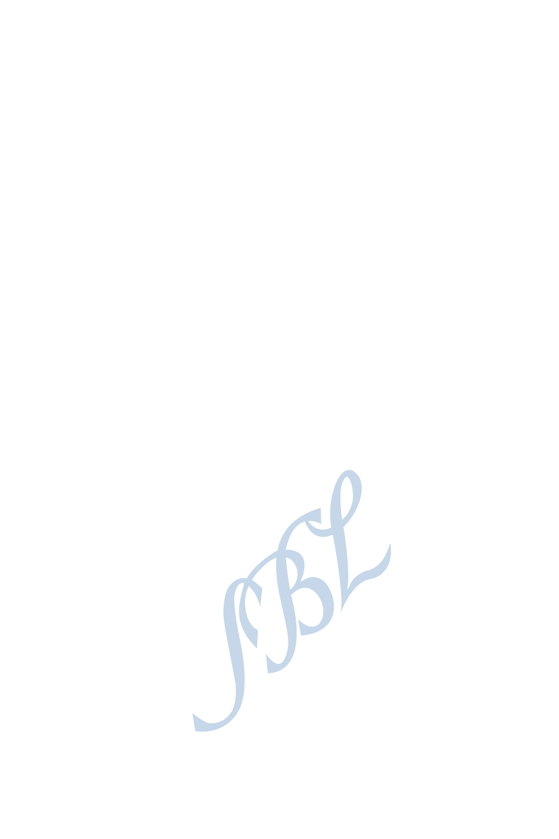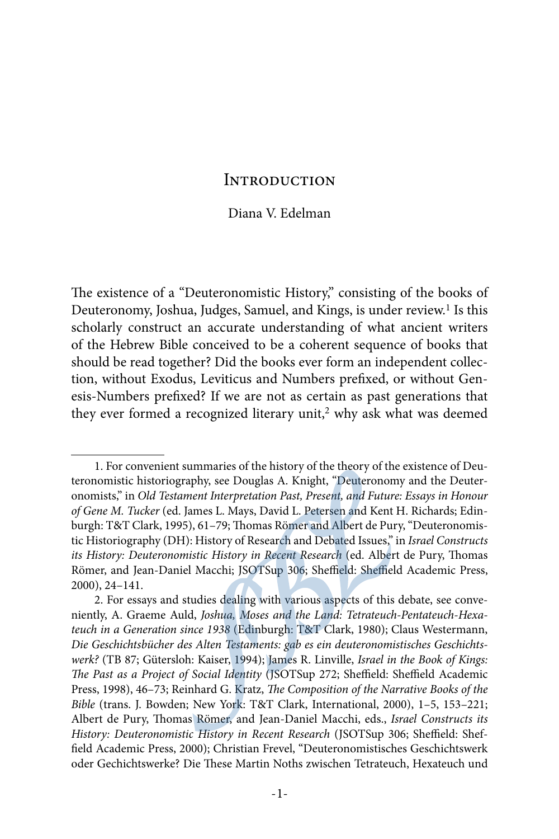### **INTRODUCTION**

#### Diana V. Edelman

The existence of a "Deuteronomistic History," consisting of the books of Deuteronomy, Joshua, Judges, Samuel, and Kings, is under review.<sup>1</sup> Is this scholarly construct an accurate understanding of what ancient writers of the Hebrew Bible conceived to be a coherent sequence of books that should be read together? Did the books ever form an independent collection, without Exodus, Leviticus and Numbers prefixed, or without Genesis-Numbers prefixed? If we are not as certain as past generations that they ever formed a recognized literary unit, $2$  why ask what was deemed

<sup>1.</sup> For convenient summaries of the history of the theory of the existence of Deuteronomistic historiography, see Douglas A. Knight, "Deuteronomy and the Deuteronomists," in *Old Testament Interpretation Past, Present, and Future: Essays in Honour of Gene M. Tucker* (ed. James L. Mays, David L. Petersen and Kent H. Richards; Edinburgh: T&T Clark, 1995), 61–79; Thomas Römer and Albert de Pury, "Deuteronomistic Historiography (DH): History of Research and Debated Issues," in *Israel Constructs its History: Deuteronomistic History in Recent Research* (ed. Albert de Pury, Thomas Römer, and Jean-Daniel Macchi; JSOTSup 306; Sheffield: Sheffield Academic Press, 2000), 24–141.

<sup>2.</sup> For essays and studies dealing with various aspects of this debate, see conveniently, A. Graeme Auld, *Joshua, Moses and the Land: Tetrateuch-Pentateuch-Hexateuch in a Generation since 1938* (Edinburgh: T&T Clark, 1980); Claus Westermann, *Die Geschichtsbücher des Alten Testaments: gab es ein deuteronomistisches Geschichtswerk?* (TB 87; Gütersloh: Kaiser, 1994); James R. Linville, *Israel in the Book of Kings: The Past as a Project of Social Identity* (JSOTSup 272; Sheffield: Sheffield Academic Press, 1998), 46–73; Reinhard G. Kratz, *The Composition of the Narrative Books of the Bible* (trans. J. Bowden; New York: T&T Clark, International, 2000), 1–5, 153–221; Albert de Pury, Thomas Römer, and Jean-Daniel Macchi, eds., *Israel Constructs its History: Deuteronomistic History in Recent Research* (JSOTSup 306; Sheffield: Sheffield Academic Press, 2000); Christian Frevel, "Deuteronomistisches Geschichtswerk oder Gechichtswerke? Die These Martin Noths zwischen Tetrateuch, Hexateuch und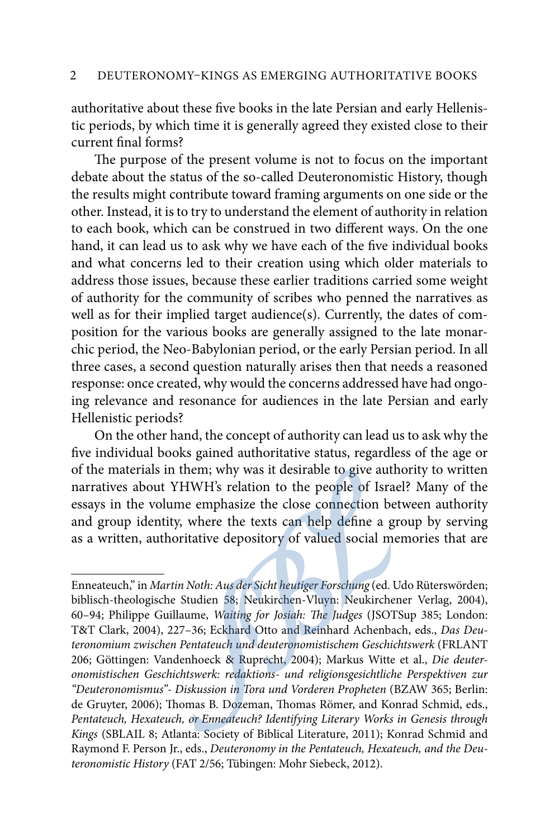authoritative about these five books in the late Persian and early Hellenistic periods, by which time it is generally agreed they existed close to their current final forms?

The purpose of the present volume is not to focus on the important debate about the status of the so-called Deuteronomistic History, though the results might contribute toward framing arguments on one side or the other. Instead, it is to try to understand the element of authority in relation to each book, which can be construed in two different ways. On the one hand, it can lead us to ask why we have each of the five individual books and what concerns led to their creation using which older materials to address those issues, because these earlier traditions carried some weight of authority for the community of scribes who penned the narratives as well as for their implied target audience(s). Currently, the dates of composition for the various books are generally assigned to the late monarchic period, the Neo-Babylonian period, or the early Persian period. In all three cases, a second question naturally arises then that needs a reasoned response: once created, why would the concerns addressed have had ongoing relevance and resonance for audiences in the late Persian and early Hellenistic periods?

On the other hand, the concept of authority can lead us to ask why the five individual books gained authoritative status, regardless of the age or of the materials in them; why was it desirable to give authority to written narratives about YHWH's relation to the people of Israel? Many of the essays in the volume emphasize the close connection between authority and group identity, where the texts can help define a group by serving as a written, authoritative depository of valued social memories that are

Enneateuch," in *Martin Noth: Aus der Sicht heutiger Forschung* (ed. Udo Rüterswörden; biblisch-theologische Studien 58; Neukirchen-Vluyn: Neukirchener Verlag, 2004), 60–94; Philippe Guillaume, *Waiting for Josiah: The Judges* (JSOTSup 385; London: T&T Clark, 2004), 227–36; Eckhard Otto and Reinhard Achenbach, eds., *Das Deuteronomium zwischen Pentateuch und deuteronomistischem Geschichtswerk* (FRLANT 206; Göttingen: Vandenhoeck & Ruprecht, 2004); Markus Witte et al., *Die deuteronomistischen Geschichtswerk: redaktions- und religionsgesichtliche Perspektiven zur "Deuteronomismus"- Diskussion in Tora und Vorderen Propheten* (BZAW 365; Berlin: de Gruyter, 2006); Thomas B. Dozeman, Thomas Römer, and Konrad Schmid, eds., *Pentateuch, Hexateuch, or Enneateuch? Identifying Literary Works in Genesis through Kings* (SBLAIL 8; Atlanta: Society of Biblical Literature, 2011); Konrad Schmid and Raymond F. Person Jr., eds., *Deuteronomy in the Pentateuch, Hexateuch, and the Deuteronomistic History* (FAT 2/56; Tübingen: Mohr Siebeck, 2012).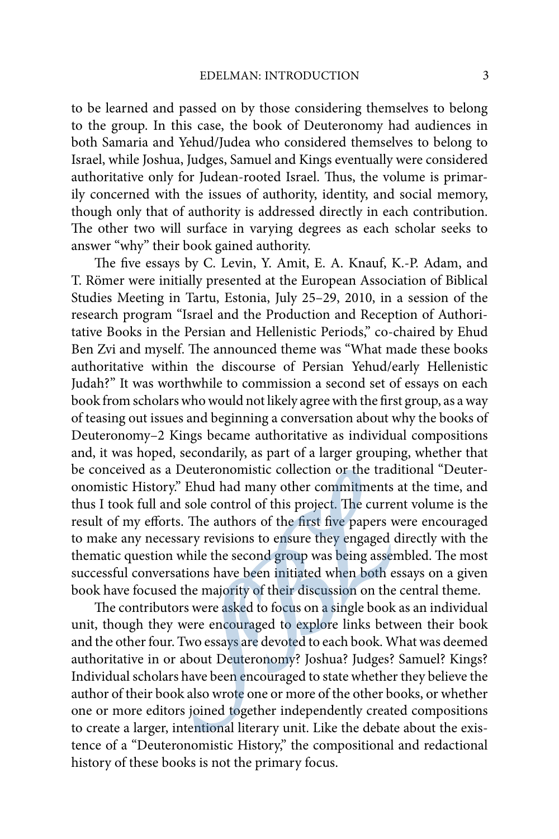to be learned and passed on by those considering themselves to belong to the group. In this case, the book of Deuteronomy had audiences in both Samaria and Yehud/Judea who considered themselves to belong to Israel, while Joshua, Judges, Samuel and Kings eventually were considered authoritative only for Judean-rooted Israel. Thus, the volume is primarily concerned with the issues of authority, identity, and social memory, though only that of authority is addressed directly in each contribution. The other two will surface in varying degrees as each scholar seeks to answer "why" their book gained authority.

The five essays by C. Levin, Y. Amit, E. A. Knauf, K.-P. Adam, and T. Römer were initially presented at the European Association of Biblical Studies Meeting in Tartu, Estonia, July 25–29, 2010, in a session of the research program "Israel and the Production and Reception of Authoritative Books in the Persian and Hellenistic Periods," co-chaired by Ehud Ben Zvi and myself. The announced theme was "What made these books authoritative within the discourse of Persian Yehud/early Hellenistic Judah?" It was worthwhile to commission a second set of essays on each book from scholars who would not likely agree with the first group, as a way of teasing out issues and beginning a conversation about why the books of Deuteronomy–2 Kings became authoritative as individual compositions and, it was hoped, secondarily, as part of a larger grouping, whether that be conceived as a Deuteronomistic collection or the traditional "Deuteronomistic History." Ehud had many other commitments at the time, and thus I took full and sole control of this project. The current volume is the result of my efforts. The authors of the first five papers were encouraged to make any necessary revisions to ensure they engaged directly with the thematic question while the second group was being assembled. The most successful conversations have been initiated when both essays on a given book have focused the majority of their discussion on the central theme.

The contributors were asked to focus on a single book as an individual unit, though they were encouraged to explore links between their book and the other four. Two essays are devoted to each book. What was deemed authoritative in or about Deuteronomy? Joshua? Judges? Samuel? Kings? Individual scholars have been encouraged to state whether they believe the author of their book also wrote one or more of the other books, or whether one or more editors joined together independently created compositions to create a larger, intentional literary unit. Like the debate about the existence of a "Deuteronomistic History," the compositional and redactional history of these books is not the primary focus.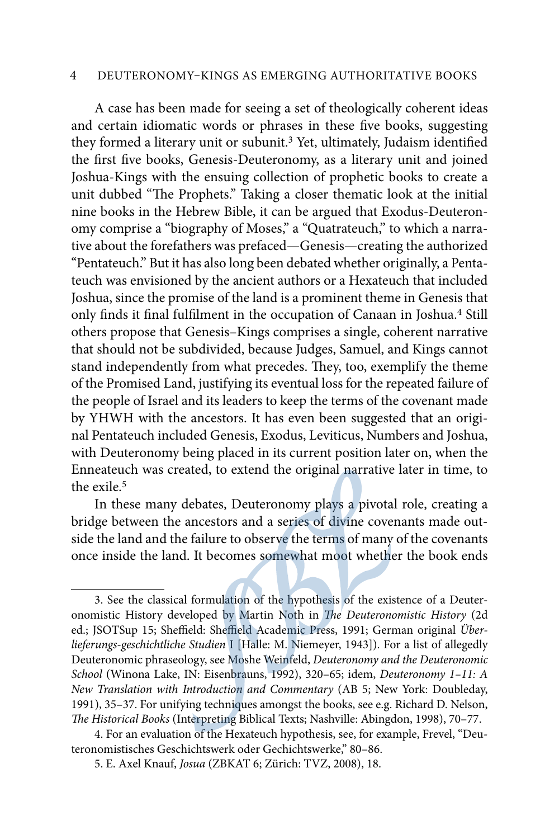A case has been made for seeing a set of theologically coherent ideas and certain idiomatic words or phrases in these five books, suggesting they formed a literary unit or subunit.<sup>3</sup> Yet, ultimately, Judaism identified the first five books, Genesis-Deuteronomy, as a literary unit and joined Joshua-Kings with the ensuing collection of prophetic books to create a unit dubbed "The Prophets." Taking a closer thematic look at the initial nine books in the Hebrew Bible, it can be argued that Exodus-Deuteronomy comprise a "biography of Moses," a "Quatrateuch," to which a narrative about the forefathers was prefaced—Genesis—creating the authorized "Pentateuch." But it has also long been debated whether originally, a Pentateuch was envisioned by the ancient authors or a Hexateuch that included Joshua, since the promise of the land is a prominent theme in Genesis that only finds it final fulfilment in the occupation of Canaan in Joshua.<sup>4</sup> Still others propose that Genesis–Kings comprises a single, coherent narrative that should not be subdivided, because Judges, Samuel, and Kings cannot stand independently from what precedes. They, too, exemplify the theme of the Promised Land, justifying its eventual loss for the repeated failure of the people of Israel and its leaders to keep the terms of the covenant made by YHWH with the ancestors. It has even been suggested that an original Pentateuch included Genesis, Exodus, Leviticus, Numbers and Joshua, with Deuteronomy being placed in its current position later on, when the Enneateuch was created, to extend the original narrative later in time, to the exile.5

In these many debates, Deuteronomy plays a pivotal role, creating a bridge between the ancestors and a series of divine covenants made outside the land and the failure to observe the terms of many of the covenants once inside the land. It becomes somewhat moot whether the book ends

<sup>3.</sup> See the classical formulation of the hypothesis of the existence of a Deuteronomistic History developed by Martin Noth in *The Deuteronomistic History* (2d ed.; JSOTSup 15; Sheffield: Sheffield Academic Press, 1991; German original *Überlieferungs-geschichtliche Studien* I [Halle: M. Niemeyer, 1943]). For a list of allegedly Deuteronomic phraseology, see Moshe Weinfeld, *Deuteronomy and the Deuteronomic School* (Winona Lake, IN: Eisenbrauns, 1992), 320–65; idem, *Deuteronomy 1 –11: A New Translation with Introduction and Commentary* (AB 5; New York: Doubleday, 1991), 35–37. For unifying techniques amongst the books, see e.g. Richard D. Nelson, *The Historical Books* (Interpreting Biblical Texts; Nashville: Abingdon, 1998), 70–77.

<sup>4.</sup> For an evaluation of the Hexateuch hypothesis, see, for example, Frevel, "Deuteronomistisches Geschichtswerk oder Gechichtswerke," 80–86.

<sup>5.</sup> E. Axel Knauf, *Josua* (ZBKAT 6; Zürich: TVZ, 2008), 18.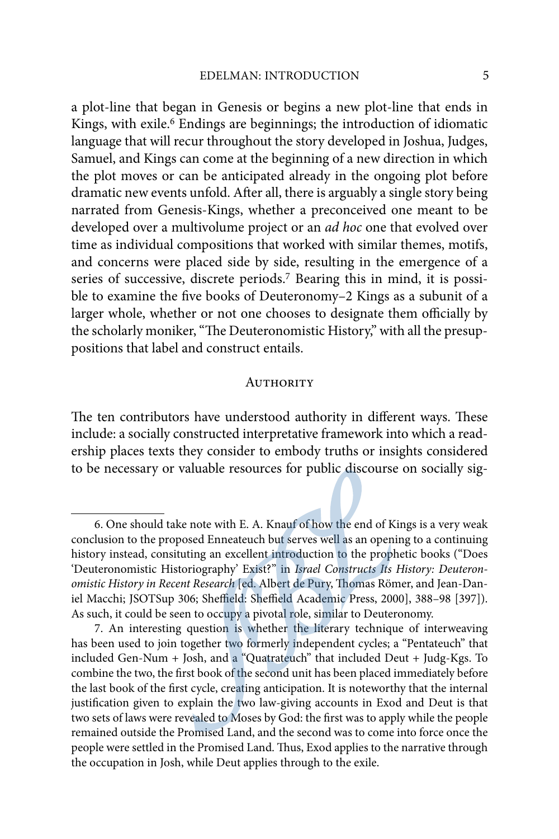a plot-line that began in Genesis or begins a new plot-line that ends in Kings, with exile.<sup>6</sup> Endings are beginnings; the introduction of idiomatic language that will recur throughout the story developed in Joshua, Judges, Samuel, and Kings can come at the beginning of a new direction in which the plot moves or can be anticipated already in the ongoing plot before dramatic new events unfold. After all, there is arguably a single story being narrated from Genesis-Kings, whether a preconceived one meant to be developed over a multivolume project or an *ad hoc* one that evolved over time as individual compositions that worked with similar themes, motifs, and concerns were placed side by side, resulting in the emergence of a series of successive, discrete periods.<sup>7</sup> Bearing this in mind, it is possible to examine the five books of Deuteronomy–2 Kings as a subunit of a larger whole, whether or not one chooses to designate them officially by the scholarly moniker, "The Deuteronomistic History," with all the presuppositions that label and construct entails.

#### **AUTHORITY**

The ten contributors have understood authority in different ways. These include: a socially constructed interpretative framework into which a readership places texts they consider to embody truths or insights considered to be necessary or valuable resources for public discourse on socially sig-

<sup>6.</sup> One should take note with E. A. Knauf of how the end of Kings is a very weak conclusion to the proposed Enneateuch but serves well as an opening to a continuing history instead, consituting an excellent introduction to the prophetic books ("Does 'Deuteronomistic Historiography' Exist?" in *Israel Constructs Its History: Deuteronomistic History in Recent Research* [ed. Albert de Pury, Thomas Römer, and Jean-Daniel Macchi; JSOTSup 306; Sheffield: Sheffield Academic Press, 2000], 388–98 [397]). As such, it could be seen to occupy a pivotal role, similar to Deuteronomy.

<sup>7.</sup> An interesting question is whether the literary technique of interweaving has been used to join together two formerly independent cycles; a "Pentateuch" that included Gen-Num + Josh, and a "Quatrateuch" that included Deut + Judg-Kgs. To combine the two, the first book of the second unit has been placed immediately before the last book of the first cycle, creating anticipation. It is noteworthy that the internal justification given to explain the two law-giving accounts in Exod and Deut is that two sets of laws were revealed to Moses by God: the first was to apply while the people remained outside the Promised Land, and the second was to come into force once the people were settled in the Promised Land. Thus, Exod applies to the narrative through the occupation in Josh, while Deut applies through to the exile.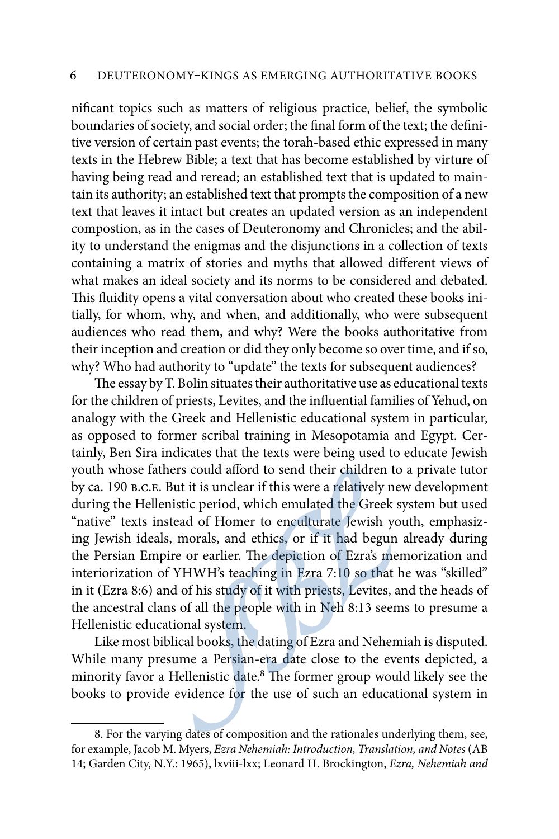nificant topics such as matters of religious practice, belief, the symbolic boundaries of society, and social order; the final form of the text; the definitive version of certain past events; the torah-based ethic expressed in many texts in the Hebrew Bible; a text that has become established by virture of having being read and reread; an established text that is updated to maintain its authority; an established text that prompts the composition of a new text that leaves it intact but creates an updated version as an independent compostion, as in the cases of Deuteronomy and Chronicles; and the ability to understand the enigmas and the disjunctions in a collection of texts containing a matrix of stories and myths that allowed different views of what makes an ideal society and its norms to be considered and debated. This fluidity opens a vital conversation about who created these books initially, for whom, why, and when, and additionally, who were subsequent audiences who read them, and why? Were the books authoritative from their inception and creation or did they only become so over time, and if so, why? Who had authority to "update" the texts for subsequent audiences?

The essay by T. Bolin situates their authoritative use as educational texts for the children of priests, Levites, and the influential families of Yehud, on analogy with the Greek and Hellenistic educational system in particular, as opposed to former scribal training in Mesopotamia and Egypt. Certainly, Ben Sira indicates that the texts were being used to educate Jewish youth whose fathers could afford to send their children to a private tutor by ca. 190 b.c.e. But it is unclear if this were a relatively new development during the Hellenistic period, which emulated the Greek system but used "native" texts instead of Homer to enculturate Jewish youth, emphasizing Jewish ideals, morals, and ethics, or if it had begun already during the Persian Empire or earlier. The depiction of Ezra's memorization and interiorization of YHWH's teaching in Ezra 7:10 so that he was "skilled" in it (Ezra 8:6) and of his study of it with priests, Levites, and the heads of the ancestral clans of all the people with in Neh 8:13 seems to presume a Hellenistic educational system.

Like most biblical books, the dating of Ezra and Nehemiah is disputed. While many presume a Persian-era date close to the events depicted, a minority favor a Hellenistic date.8 The former group would likely see the books to provide evidence for the use of such an educational system in

<sup>8.</sup> For the varying dates of composition and the rationales underlying them, see, for example, Jacob M. Myers, *Ezra Nehemiah: Introduction, Translation, and Notes* (AB 14; Garden City, N.Y.: 1965), lxviii-lxx; Leonard H. Brockington, *Ezra, Nehemiah and*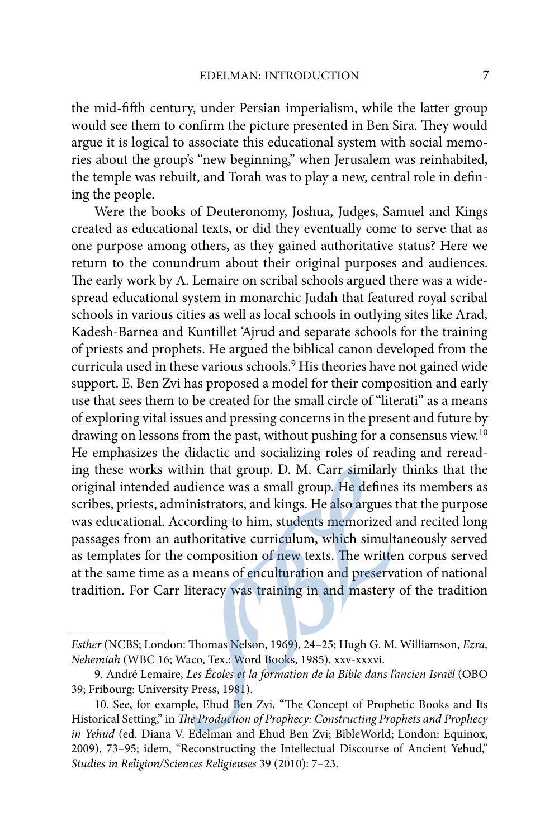the mid-fifth century, under Persian imperialism, while the latter group would see them to confirm the picture presented in Ben Sira. They would argue it is logical to associate this educational system with social memories about the group's "new beginning," when Jerusalem was reinhabited, the temple was rebuilt, and Torah was to play a new, central role in defining the people.

Were the books of Deuteronomy, Joshua, Judges, Samuel and Kings created as educational texts, or did they eventually come to serve that as one purpose among others, as they gained authoritative status? Here we return to the conundrum about their original purposes and audiences. The early work by A. Lemaire on scribal schools argued there was a widespread educational system in monarchic Judah that featured royal scribal schools in various cities as well as local schools in outlying sites like Arad, Kadesh-Barnea and Kuntillet 'Ajrud and separate schools for the training of priests and prophets. He argued the biblical canon developed from the curricula used in these various schools.9 His theories have not gained wide support. E. Ben Zvi has proposed a model for their composition and early use that sees them to be created for the small circle of "literati" as a means of exploring vital issues and pressing concerns in the present and future by drawing on lessons from the past, without pushing for a consensus view.<sup>10</sup> He emphasizes the didactic and socializing roles of reading and rereading these works within that group. D. M. Carr similarly thinks that the original intended audience was a small group. He defines its members as scribes, priests, administrators, and kings. He also argues that the purpose was educational. According to him, students memorized and recited long passages from an authoritative curriculum, which simultaneously served as templates for the composition of new texts. The written corpus served at the same time as a means of enculturation and preservation of national tradition. For Carr literacy was training in and mastery of the tradition

*Esther* (NCBS; London: Thomas Nelson, 1969), 24–25; Hugh G. M. Williamson, *Ezra, Nehemiah* (WBC 16; Waco, Tex.: Word Books, 1985), xxv-xxxvi.

<sup>9.</sup> André Lemaire, *Les Écoles et la formation de la Bible dans l'ancien Israël* (OBO 39; Fribourg: University Press, 1981).

<sup>10.</sup> See, for example, Ehud Ben Zvi, "The Concept of Prophetic Books and Its Historical Setting," in *The Production of Prophecy: Constructing Prophets and Prophecy in Yehud* (ed. Diana V. Edelman and Ehud Ben Zvi; BibleWorld; London: Equinox, 2009), 73–95; idem, "Reconstructing the Intellectual Discourse of Ancient Yehud," *Studies in Religion/Sciences Religieuses* 39 (2010): 7–23.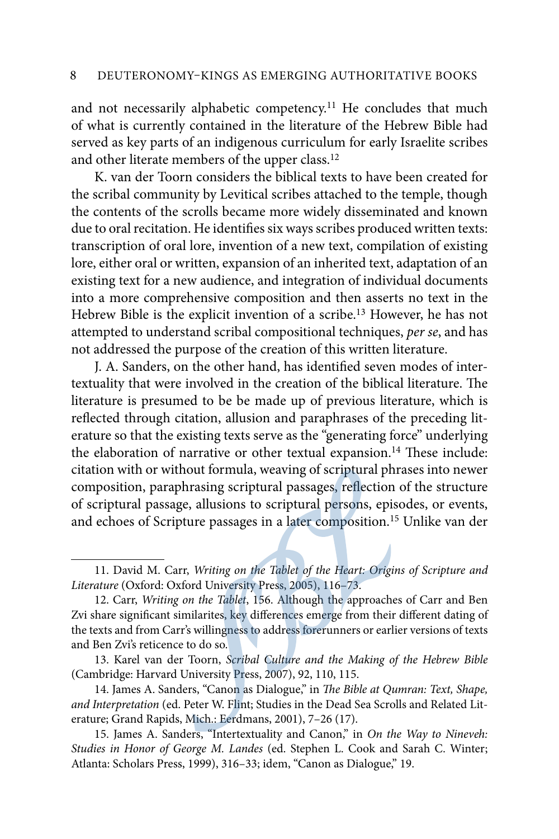and not necessarily alphabetic competency.<sup>11</sup> He concludes that much of what is currently contained in the literature of the Hebrew Bible had served as key parts of an indigenous curriculum for early Israelite scribes and other literate members of the upper class.<sup>12</sup>

K. van der Toorn considers the biblical texts to have been created for the scribal community by Levitical scribes attached to the temple, though the contents of the scrolls became more widely disseminated and known due to oral recitation. He identifies six ways scribes produced written texts: transcription of oral lore, invention of a new text, compilation of existing lore, either oral or written, expansion of an inherited text, adaptation of an existing text for a new audience, and integration of individual documents into a more comprehensive composition and then asserts no text in the Hebrew Bible is the explicit invention of a scribe.<sup>13</sup> However, he has not attempted to understand scribal compositional techniques, *per se*, and has not addressed the purpose of the creation of this written literature.

J. A. Sanders, on the other hand, has identified seven modes of intertextuality that were involved in the creation of the biblical literature. The literature is presumed to be be made up of previous literature, which is reflected through citation, allusion and paraphrases of the preceding literature so that the existing texts serve as the "generating force" underlying the elaboration of narrative or other textual expansion.<sup>14</sup> These include: citation with or without formula, weaving of scriptural phrases into newer composition, paraphrasing scriptural passages, reflection of the structure of scriptural passage, allusions to scriptural persons, episodes, or events, and echoes of Scripture passages in a later composition.15 Unlike van der

13. Karel van der Toorn, *Scribal Culture and the Making of the Hebrew Bible*  (Cambridge: Harvard University Press, 2007), 92, 110, 115.

14. James A. Sanders, "Canon as Dialogue," in *The Bible at Qumran: Text, Shape, and Interpretation* (ed. Peter W. Flint; Studies in the Dead Sea Scrolls and Related Literature; Grand Rapids, Mich.: Eerdmans, 2001), 7–26 (17).

<sup>11.</sup> David M. Carr, *Writing on the Tablet of the Heart: Origins of Scripture and*  Literature (Oxford: Oxford University Press, 2005), 116-73.

<sup>12.</sup> Carr, *Writing on the Tablet*, 156. Although the approaches of Carr and Ben Zvi share significant similarites, key differences emerge from their different dating of the texts and from Carr's willingness to address forerunners or earlier versions of texts and Ben Zvi's reticence to do so.

<sup>15.</sup> James A. Sanders, "Intertextuality and Canon," in *On the Way to Nineveh: Studies in Honor of George M. Landes* (ed. Stephen L. Cook and Sarah C. Winter; Atlanta: Scholars Press, 1999), 316–33; idem, "Canon as Dialogue," 19.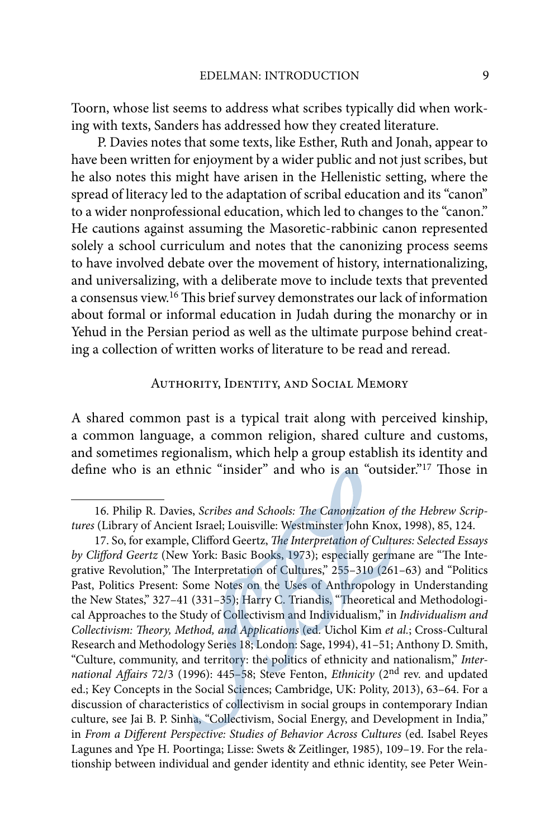Toorn, whose list seems to address what scribes typically did when working with texts, Sanders has addressed how they created literature.

 P. Davies notes that some texts, like Esther, Ruth and Jonah, appear to have been written for enjoyment by a wider public and not just scribes, but he also notes this might have arisen in the Hellenistic setting, where the spread of literacy led to the adaptation of scribal education and its "canon" to a wider nonprofessional education, which led to changes to the "canon." He cautions against assuming the Masoretic-rabbinic canon represented solely a school curriculum and notes that the canonizing process seems to have involved debate over the movement of history, internationalizing, and universalizing, with a deliberate move to include texts that prevented a consensus view.16 This brief survey demonstrates our lack of information about formal or informal education in Judah during the monarchy or in Yehud in the Persian period as well as the ultimate purpose behind creating a collection of written works of literature to be read and reread.

#### Authority, Identity, and Social Memory

A shared common past is a typical trait along with perceived kinship, a common language, a common religion, shared culture and customs, and sometimes regionalism, which help a group establish its identity and define who is an ethnic "insider" and who is an "outsider."17 Those in

<sup>16.</sup> Philip R. Davies, *Scribes and Schools: The Canonization of the Hebrew Scriptures* (Library of Ancient Israel; Louisville: Westminster John Knox, 1998), 85, 124.

<sup>17.</sup> So, for example, Clifford Geertz, *The Interpretation of Cultures: Selected Essays by Clifford Geertz* (New York: Basic Books, 1973); especially germane are "The Integrative Revolution," The Interpretation of Cultures," 255–310 (261–63) and "Politics Past, Politics Present: Some Notes on the Uses of Anthropology in Understanding the New States," 327–41 (331–35); Harry C. Triandis, "Theoretical and Methodological Approaches to the Study of Collectivism and Individualism," in *Individualism and Collectivism: Theory, Method, and Applications* (ed. Uichol Kim *et al.*; Cross-Cultural Research and Methodology Series 18; London: Sage, 1994), 41–51; Anthony D. Smith, "Culture, community, and territory: the politics of ethnicity and nationalism," *International Affairs* 72/3 (1996): 445–58; Steve Fenton, *Ethnicity* (2nd rev. and updated ed.; Key Concepts in the Social Sciences; Cambridge, UK: Polity, 2013), 63–64. For a discussion of characteristics of collectivism in social groups in contemporary Indian culture, see Jai B. P. Sinha, "Collectivism, Social Energy, and Development in India," in *From a Different Perspective: Studies of Behavior Across Cultures* (ed. Isabel Reyes Lagunes and Ype H. Poortinga; Lisse: Swets & Zeitlinger, 1985), 109–19. For the relationship between individual and gender identity and ethnic identity, see Peter Wein-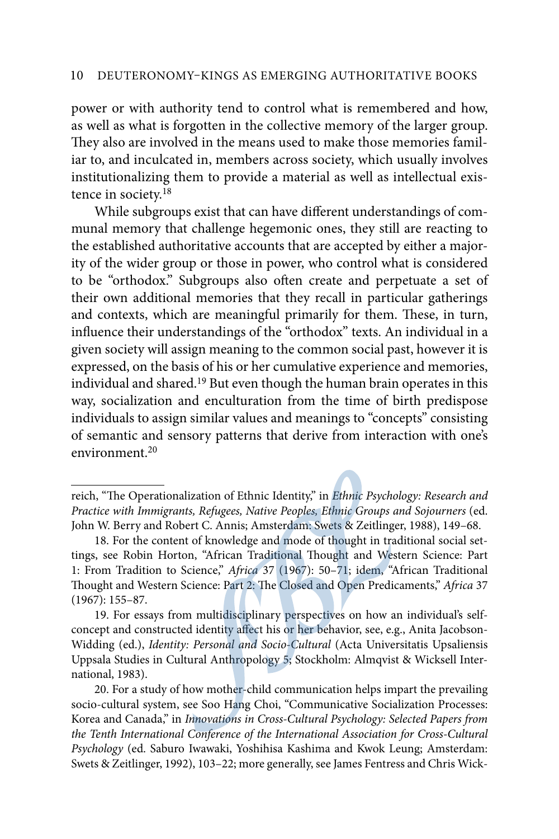power or with authority tend to control what is remembered and how, as well as what is forgotten in the collective memory of the larger group. They also are involved in the means used to make those memories familiar to, and inculcated in, members across society, which usually involves institutionalizing them to provide a material as well as intellectual existence in society.18

While subgroups exist that can have different understandings of communal memory that challenge hegemonic ones, they still are reacting to the established authoritative accounts that are accepted by either a majority of the wider group or those in power, who control what is considered to be "orthodox." Subgroups also often create and perpetuate a set of their own additional memories that they recall in particular gatherings and contexts, which are meaningful primarily for them. These, in turn, influence their understandings of the "orthodox" texts. An individual in a given society will assign meaning to the common social past, however it is expressed, on the basis of his or her cumulative experience and memories, individual and shared.19 But even though the human brain operates in this way, socialization and enculturation from the time of birth predispose individuals to assign similar values and meanings to "concepts" consisting of semantic and sensory patterns that derive from interaction with one's environment.20

reich, "The Operationalization of Ethnic Identity," in *Ethnic Psychology: Research and Practice with Immigrants, Refugees, Native Peoples, Ethnic Groups and Sojourners (ed.* John W. Berry and Robert C. Annis; Amsterdam: Swets & Zeitlinger, 1988), 149–68.

<sup>18.</sup> For the content of knowledge and mode of thought in traditional social settings, see Robin Horton, "African Traditional Thought and Western Science: Part 1: From Tradition to Science," *Africa* 37 (1967): 50–71; idem, "African Traditional Thought and Western Science: Part 2: The Closed and Open Predicaments," *Africa* 37 (1967): 155–87.

<sup>19.</sup> For essays from multidisciplinary perspectives on how an individual's selfconcept and constructed identity affect his or her behavior, see, e.g., Anita Jacobson-Widding (ed.), *Identity: Personal and Socio-Cultural* (Acta Universitatis Upsaliensis Uppsala Studies in Cultural Anthropology 5; Stockholm: Almqvist & Wicksell International, 1983).

<sup>20.</sup> For a study of how mother-child communication helps impart the prevailing socio-cultural system, see Soo Hang Choi, "Communicative Socialization Processes: Korea and Canada," in *Innovations in Cross-Cultural Psychology: Selected Papers from the Tenth International Conference of the International Association for Cross-Cultural Psychology* (ed. Saburo Iwawaki, Yoshihisa Kashima and Kwok Leung; Amsterdam: Swets & Zeitlinger, 1992), 103–22; more generally, see James Fentress and Chris Wick-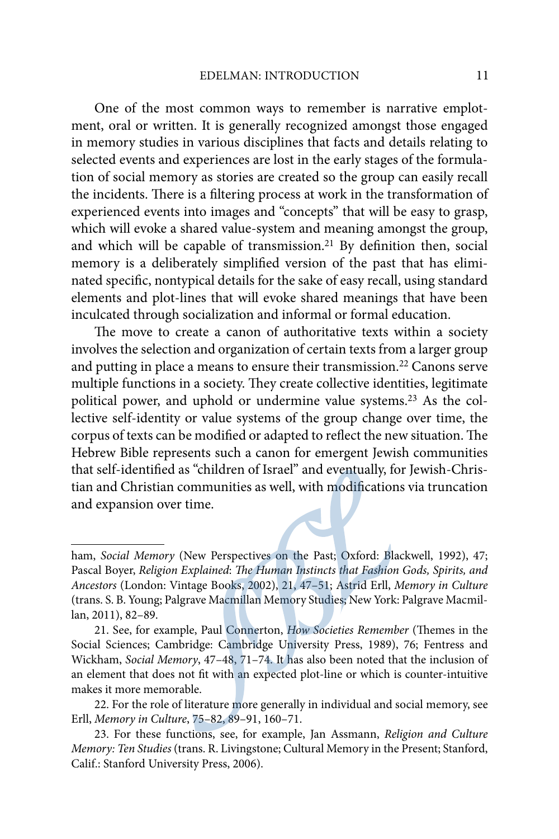One of the most common ways to remember is narrative emplotment, oral or written. It is generally recognized amongst those engaged in memory studies in various disciplines that facts and details relating to selected events and experiences are lost in the early stages of the formulation of social memory as stories are created so the group can easily recall the incidents. There is a filtering process at work in the transformation of experienced events into images and "concepts" that will be easy to grasp, which will evoke a shared value-system and meaning amongst the group, and which will be capable of transmission. $21$  By definition then, social memory is a deliberately simplified version of the past that has eliminated specific, nontypical details for the sake of easy recall, using standard elements and plot-lines that will evoke shared meanings that have been inculcated through socialization and informal or formal education.

The move to create a canon of authoritative texts within a society involves the selection and organization of certain texts from a larger group and putting in place a means to ensure their transmission.<sup>22</sup> Canons serve multiple functions in a society. They create collective identities, legitimate political power, and uphold or undermine value systems.<sup>23</sup> As the collective self-identity or value systems of the group change over time, the corpus of texts can be modified or adapted to reflect the new situation. The Hebrew Bible represents such a canon for emergent Jewish communities that self-identified as "children of Israel" and eventually, for Jewish-Christian and Christian communities as well, with modifications via truncation and expansion over time.

ham, *Social Memory* (New Perspectives on the Past; Oxford: Blackwell, 1992), 47; Pascal Boyer, *Religion Explained*: *The Human Instincts that Fashion Gods, Spirits, and Ancestors* (London: Vintage Books, 2002), 21, 47–51; Astrid Erll, *Memory in Culture*  (trans. S. B. Young; Palgrave Macmillan Memory Studies; New York: Palgrave Macmillan, 2011), 82–89.

<sup>21.</sup> See, for example, Paul Connerton, *How Societies Remember* (Themes in the Social Sciences; Cambridge: Cambridge University Press, 1989), 76; Fentress and Wickham, *Social Memory*, 47–48, 71–74. It has also been noted that the inclusion of an element that does not fit with an expected plot-line or which is counter-intuitive makes it more memorable.

<sup>22.</sup> For the role of literature more generally in individual and social memory, see Erll, *Memory in Culture*, 75–82, 89 –91, 160–71.

<sup>23.</sup> For these functions, see, for example, Jan Assmann, *Religion and Culture Memory: Ten Studies* (trans. R. Livingstone; Cultural Memory in the Present; Stanford, Calif.: Stanford University Press, 2006).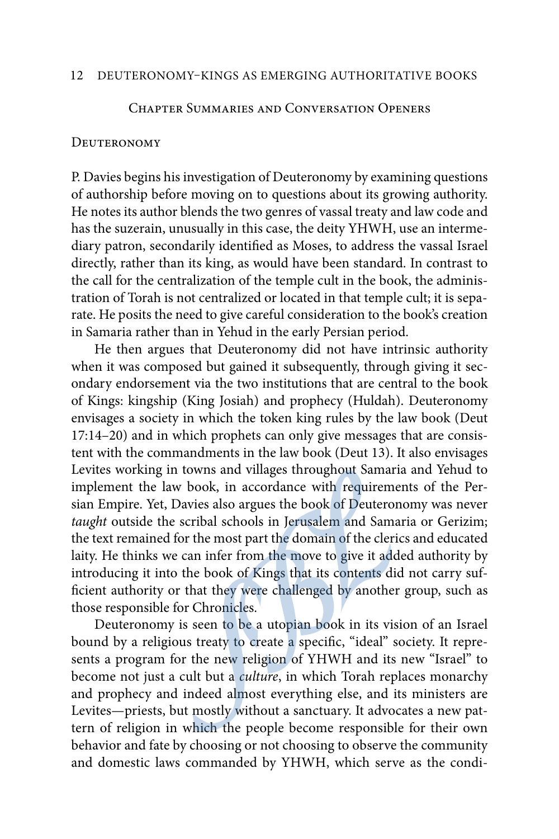#### Chapter Summaries and Conversation Openers

#### DEUTERONOMY

P. Davies begins his investigation of Deuteronomy by examining questions of authorship before moving on to questions about its growing authority. He notes its author blends the two genres of vassal treaty and law code and has the suzerain, unusually in this case, the deity YHWH, use an intermediary patron, secondarily identified as Moses, to address the vassal Israel directly, rather than its king, as would have been standard. In contrast to the call for the centralization of the temple cult in the book, the administration of Torah is not centralized or located in that temple cult; it is separate. He posits the need to give careful consideration to the book's creation in Samaria rather than in Yehud in the early Persian period.

He then argues that Deuteronomy did not have intrinsic authority when it was composed but gained it subsequently, through giving it secondary endorsement via the two institutions that are central to the book of Kings: kingship (King Josiah) and prophecy (Huldah). Deuteronomy envisages a society in which the token king rules by the law book (Deut 17:14–20) and in which prophets can only give messages that are consistent with the commandments in the law book (Deut 13). It also envisages Levites working in towns and villages throughout Samaria and Yehud to implement the law book, in accordance with requirements of the Persian Empire. Yet, Davies also argues the book of Deuteronomy was never *taught* outside the scribal schools in Jerusalem and Samaria or Gerizim; the text remained for the most part the domain of the clerics and educated laity. He thinks we can infer from the move to give it added authority by introducing it into the book of Kings that its contents did not carry sufficient authority or that they were challenged by another group, such as those responsible for Chronicles.

Deuteronomy is seen to be a utopian book in its vision of an Israel bound by a religious treaty to create a specific, "ideal" society. It represents a program for the new religion of YHWH and its new "Israel" to become not just a cult but a *culture*, in which Torah replaces monarchy and prophecy and indeed almost everything else, and its ministers are Levites—priests, but mostly without a sanctuary. It advocates a new pattern of religion in which the people become responsible for their own behavior and fate by choosing or not choosing to observe the community and domestic laws commanded by YHWH, which serve as the condi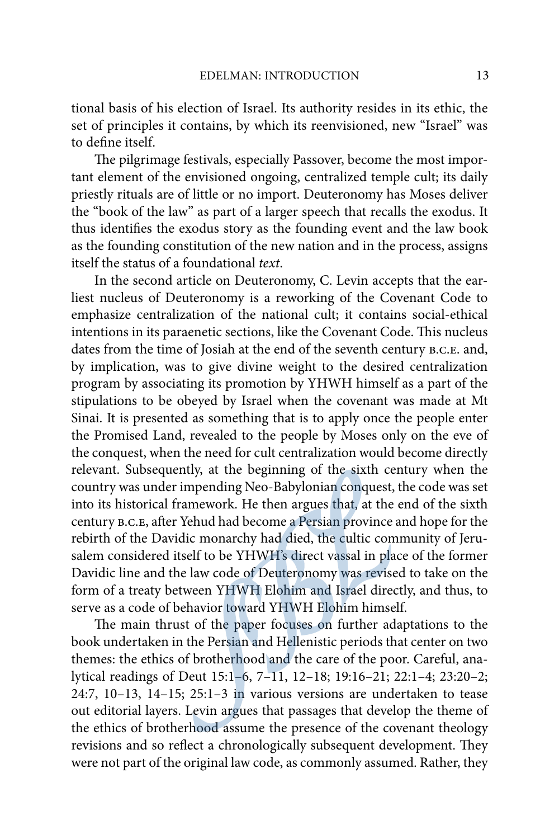tional basis of his election of Israel. Its authority resides in its ethic, the set of principles it contains, by which its reenvisioned, new "Israel" was to define itself.

The pilgrimage festivals, especially Passover, become the most important element of the envisioned ongoing, centralized temple cult; its daily priestly rituals are of little or no import. Deuteronomy has Moses deliver the "book of the law" as part of a larger speech that recalls the exodus. It thus identifies the exodus story as the founding event and the law book as the founding constitution of the new nation and in the process, assigns itself the status of a foundational *text*.

In the second article on Deuteronomy, C. Levin accepts that the earliest nucleus of Deuteronomy is a reworking of the Covenant Code to emphasize centralization of the national cult; it contains social-ethical intentions in its paraenetic sections, like the Covenant Code. This nucleus dates from the time of Josiah at the end of the seventh century B.C.E. and, by implication, was to give divine weight to the desired centralization program by associating its promotion by YHWH himself as a part of the stipulations to be obeyed by Israel when the covenant was made at Mt Sinai. It is presented as something that is to apply once the people enter the Promised Land, revealed to the people by Moses only on the eve of the conquest, when the need for cult centralization would become directly relevant. Subsequently, at the beginning of the sixth century when the country was under impending Neo-Babylonian conquest, the code was set into its historical framework. He then argues that, at the end of the sixth century b.c.e, after Yehud had become a Persian province and hope for the rebirth of the Davidic monarchy had died, the cultic community of Jerusalem considered itself to be YHWH's direct vassal in place of the former Davidic line and the law code of Deuteronomy was revised to take on the form of a treaty between YHWH Elohim and Israel directly, and thus, to serve as a code of behavior toward YHWH Elohim himself.

The main thrust of the paper focuses on further adaptations to the book undertaken in the Persian and Hellenistic periods that center on two themes: the ethics of brotherhood and the care of the poor. Careful, analytical readings of Deut 15:1–6, 7–11, 12–18; 19:16–21; 22:1–4; 23:20–2; 24:7, 10–13, 14–15; 25:1–3 in various versions are undertaken to tease out editorial layers. Levin argues that passages that develop the theme of the ethics of brotherhood assume the presence of the covenant theology revisions and so reflect a chronologically subsequent development. They were not part of the original law code, as commonly assumed. Rather, they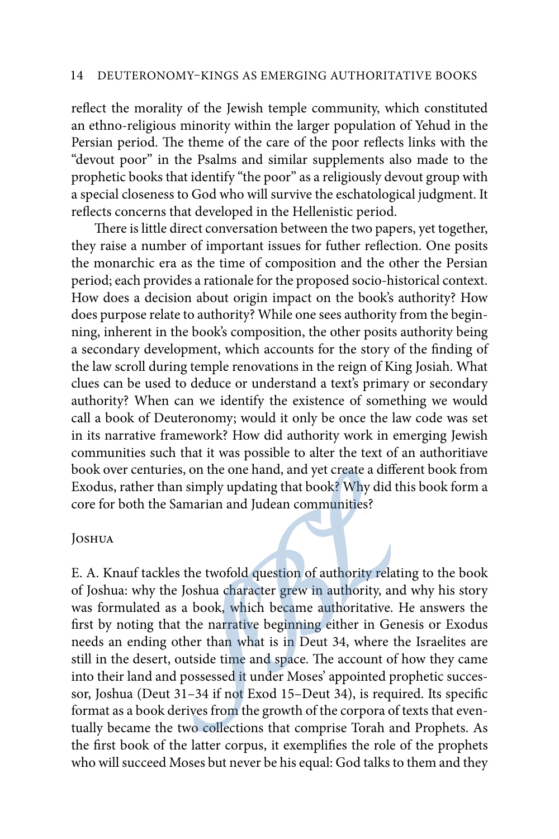reflect the morality of the Jewish temple community, which constituted an ethno-religious minority within the larger population of Yehud in the Persian period. The theme of the care of the poor reflects links with the "devout poor" in the Psalms and similar supplements also made to the prophetic books that identify "the poor" as a religiously devout group with a special closeness to God who will survive the eschatological judgment. It reflects concerns that developed in the Hellenistic period.

There is little direct conversation between the two papers, yet together, they raise a number of important issues for futher reflection. One posits the monarchic era as the time of composition and the other the Persian period; each provides a rationale for the proposed socio-historical context. How does a decision about origin impact on the book's authority? How does purpose relate to authority? While one sees authority from the beginning, inherent in the book's composition, the other posits authority being a secondary development, which accounts for the story of the finding of the law scroll during temple renovations in the reign of King Josiah. What clues can be used to deduce or understand a text's primary or secondary authority? When can we identify the existence of something we would call a book of Deuteronomy; would it only be once the law code was set in its narrative framework? How did authority work in emerging Jewish communities such that it was possible to alter the text of an authoritiave book over centuries, on the one hand, and yet create a different book from Exodus, rather than simply updating that book? Why did this book form a core for both the Samarian and Judean communities?

#### **JOSHUA**

E. A. Knauf tackles the twofold question of authority relating to the book of Joshua: why the Joshua character grew in authority, and why his story was formulated as a book, which became authoritative. He answers the first by noting that the narrative beginning either in Genesis or Exodus needs an ending other than what is in Deut 34, where the Israelites are still in the desert, outside time and space. The account of how they came into their land and possessed it under Moses' appointed prophetic successor, Joshua (Deut 31–34 if not Exod 15–Deut 34), is required. Its specific format as a book derives from the growth of the corpora of texts that eventually became the two collections that comprise Torah and Prophets. As the first book of the latter corpus, it exemplifies the role of the prophets who will succeed Moses but never be his equal: God talks to them and they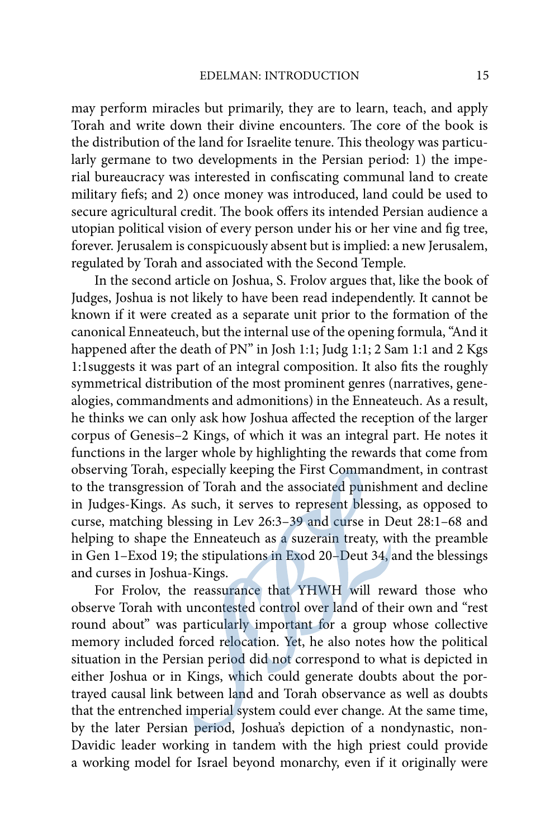may perform miracles but primarily, they are to learn, teach, and apply Torah and write down their divine encounters. The core of the book is the distribution of the land for Israelite tenure. This theology was particularly germane to two developments in the Persian period: 1) the imperial bureaucracy was interested in confiscating communal land to create military fiefs; and 2) once money was introduced, land could be used to secure agricultural credit. The book offers its intended Persian audience a utopian political vision of every person under his or her vine and fig tree, forever. Jerusalem is conspicuously absent but is implied: a new Jerusalem, regulated by Torah and associated with the Second Temple.

In the second article on Joshua, S. Frolov argues that, like the book of Judges, Joshua is not likely to have been read independently. It cannot be known if it were created as a separate unit prior to the formation of the canonical Enneateuch, but the internal use of the opening formula, "And it happened after the death of PN" in Josh 1:1; Judg 1:1; 2 Sam 1:1 and 2 Kgs 1:1suggests it was part of an integral composition. It also fits the roughly symmetrical distribution of the most prominent genres (narratives, genealogies, commandments and admonitions) in the Enneateuch. As a result, he thinks we can only ask how Joshua affected the reception of the larger corpus of Genesis–2 Kings, of which it was an integral part. He notes it functions in the larger whole by highlighting the rewards that come from observing Torah, especially keeping the First Commandment, in contrast to the transgression of Torah and the associated punishment and decline in Judges-Kings. As such, it serves to represent blessing, as opposed to curse, matching blessing in Lev 26:3–39 and curse in Deut 28:1–68 and helping to shape the Enneateuch as a suzerain treaty, with the preamble in Gen 1–Exod 19; the stipulations in Exod 20–Deut 34, and the blessings and curses in Joshua-Kings.

For Frolov, the reassurance that YHWH will reward those who observe Torah with uncontested control over land of their own and "rest round about" was particularly important for a group whose collective memory included forced relocation. Yet, he also notes how the political situation in the Persian period did not correspond to what is depicted in either Joshua or in Kings, which could generate doubts about the portrayed causal link between land and Torah observance as well as doubts that the entrenched imperial system could ever change. At the same time, by the later Persian period, Joshua's depiction of a nondynastic, non-Davidic leader working in tandem with the high priest could provide a working model for Israel beyond monarchy, even if it originally were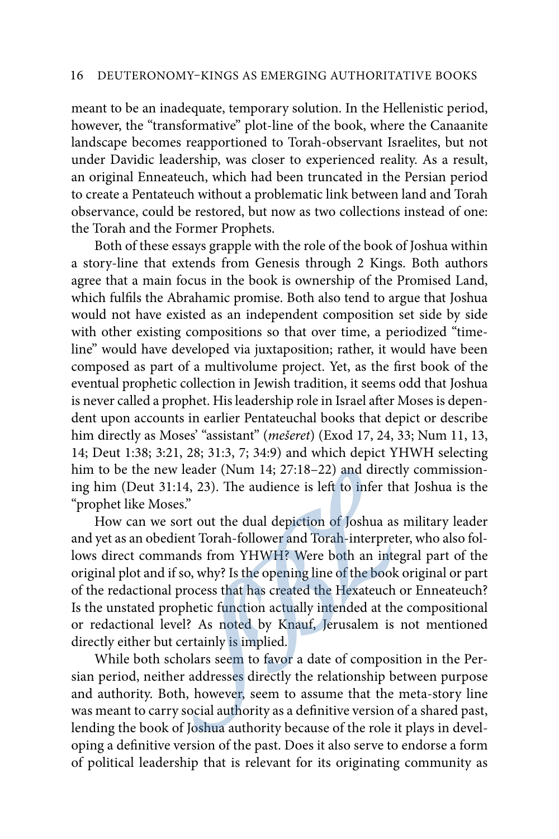meant to be an inadequate, temporary solution. In the Hellenistic period, however, the "transformative" plot-line of the book, where the Canaanite landscape becomes reapportioned to Torah-observant Israelites, but not under Davidic leadership, was closer to experienced reality. As a result, an original Enneateuch, which had been truncated in the Persian period to create a Pentateuch without a problematic link between land and Torah observance, could be restored, but now as two collections instead of one: the Torah and the Former Prophets.

Both of these essays grapple with the role of the book of Joshua within a story-line that extends from Genesis through 2 Kings. Both authors agree that a main focus in the book is ownership of the Promised Land, which fulfils the Abrahamic promise. Both also tend to argue that Joshua would not have existed as an independent composition set side by side with other existing compositions so that over time, a periodized "timeline" would have developed via juxtaposition; rather, it would have been composed as part of a multivolume project. Yet, as the first book of the eventual prophetic collection in Jewish tradition, it seems odd that Joshua is never called a prophet. His leadership role in Israel after Moses is dependent upon accounts in earlier Pentateuchal books that depict or describe him directly as Moses' "assistant" (*mešeret*) (Exod 17, 24, 33; Num 11, 13, 14; Deut 1:38; 3:21, 28; 31:3, 7; 34:9) and which depict YHWH selecting him to be the new leader (Num 14; 27:18–22) and directly commissioning him (Deut 31:14, 23). The audience is left to infer that Joshua is the "prophet like Moses."

How can we sort out the dual depiction of Joshua as military leader and yet as an obedient Torah-follower and Torah-interpreter, who also follows direct commands from YHWH? Were both an integral part of the original plot and if so, why? Is the opening line of the book original or part of the redactional process that has created the Hexateuch or Enneateuch? Is the unstated prophetic function actually intended at the compositional or redactional level? As noted by Knauf, Jerusalem is not mentioned directly either but certainly is implied.

While both scholars seem to favor a date of composition in the Persian period, neither addresses directly the relationship between purpose and authority. Both, however, seem to assume that the meta-story line was meant to carry social authority as a definitive version of a shared past, lending the book of Joshua authority because of the role it plays in developing a definitive version of the past. Does it also serve to endorse a form of political leadership that is relevant for its originating community as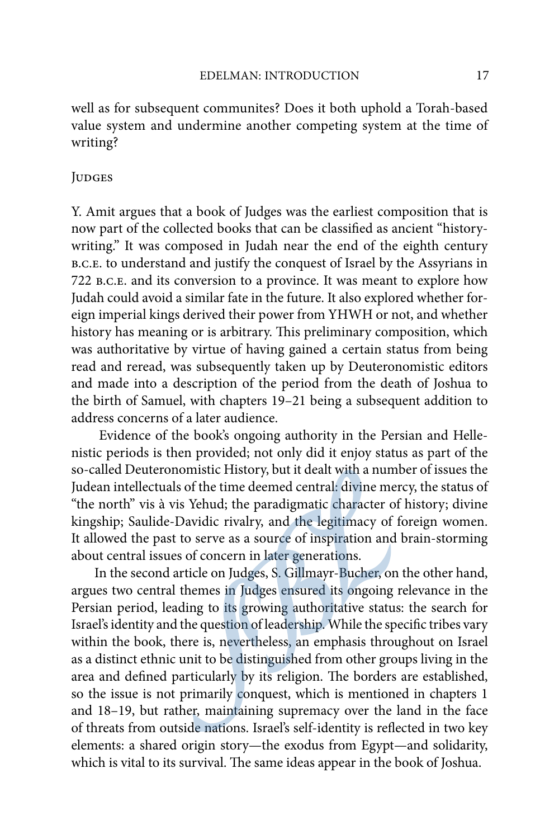well as for subsequent communites? Does it both uphold a Torah-based value system and undermine another competing system at the time of writing?

#### **JUDGES**

Y. Amit argues that a book of Judges was the earliest composition that is now part of the collected books that can be classified as ancient "historywriting." It was composed in Judah near the end of the eighth century b.c.e. to understand and justify the conquest of Israel by the Assyrians in 722 b.c.e. and its conversion to a province. It was meant to explore how Judah could avoid a similar fate in the future. It also explored whether foreign imperial kings derived their power from YHWH or not, and whether history has meaning or is arbitrary. This preliminary composition, which was authoritative by virtue of having gained a certain status from being read and reread, was subsequently taken up by Deuteronomistic editors and made into a description of the period from the death of Joshua to the birth of Samuel, with chapters 19–21 being a subsequent addition to address concerns of a later audience.

 Evidence of the book's ongoing authority in the Persian and Hellenistic periods is then provided; not only did it enjoy status as part of the so-called Deuteronomistic History, but it dealt with a number of issues the Judean intellectuals of the time deemed central: divine mercy, the status of "the north" vis à vis Yehud; the paradigmatic character of history; divine kingship; Saulide-Davidic rivalry, and the legitimacy of foreign women. It allowed the past to serve as a source of inspiration and brain-storming about central issues of concern in later generations.

In the second article on Judges, S. Gillmayr-Bucher, on the other hand, argues two central themes in Judges ensured its ongoing relevance in the Persian period, leading to its growing authoritative status: the search for Israel's identity and the question of leadership. While the specific tribes vary within the book, there is, nevertheless, an emphasis throughout on Israel as a distinct ethnic unit to be distinguished from other groups living in the area and defined particularly by its religion. The borders are established, so the issue is not primarily conquest, which is mentioned in chapters 1 and 18–19, but rather, maintaining supremacy over the land in the face of threats from outside nations. Israel's self-identity is reflected in two key elements: a shared origin story—the exodus from Egypt—and solidarity, which is vital to its survival. The same ideas appear in the book of Joshua.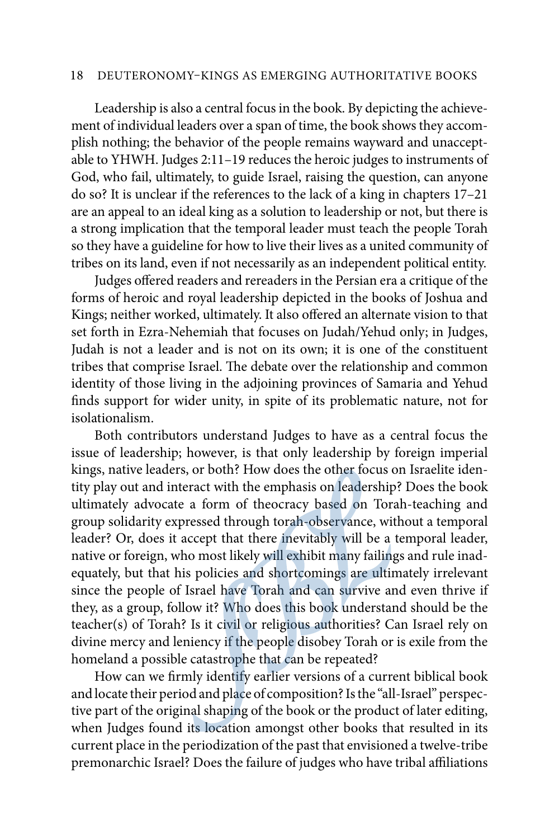Leadership is also a central focus in the book. By depicting the achievement of individual leaders over a span of time, the book shows they accomplish nothing; the behavior of the people remains wayward and unacceptable to YHWH. Judges 2:11–19 reduces the heroic judges to instruments of God, who fail, ultimately, to guide Israel, raising the question, can anyone do so? It is unclear if the references to the lack of a king in chapters 17–21 are an appeal to an ideal king as a solution to leadership or not, but there is a strong implication that the temporal leader must teach the people Torah so they have a guideline for how to live their lives as a united community of tribes on its land, even if not necessarily as an independent political entity.

Judges offered readers and rereaders in the Persian era a critique of the forms of heroic and royal leadership depicted in the books of Joshua and Kings; neither worked, ultimately. It also offered an alternate vision to that set forth in Ezra-Nehemiah that focuses on Judah/Yehud only; in Judges, Judah is not a leader and is not on its own; it is one of the constituent tribes that comprise Israel. The debate over the relationship and common identity of those living in the adjoining provinces of Samaria and Yehud finds support for wider unity, in spite of its problematic nature, not for isolationalism.

Both contributors understand Judges to have as a central focus the issue of leadership; however, is that only leadership by foreign imperial kings, native leaders, or both? How does the other focus on Israelite identity play out and interact with the emphasis on leadership? Does the book ultimately advocate a form of theocracy based on Torah-teaching and group solidarity expressed through torah-observance, without a temporal leader? Or, does it accept that there inevitably will be a temporal leader, native or foreign, who most likely will exhibit many failings and rule inadequately, but that his policies and shortcomings are ultimately irrelevant since the people of Israel have Torah and can survive and even thrive if they, as a group, follow it? Who does this book understand should be the teacher(s) of Torah? Is it civil or religious authorities? Can Israel rely on divine mercy and leniency if the people disobey Torah or is exile from the homeland a possible catastrophe that can be repeated?

How can we firmly identify earlier versions of a current biblical book and locate their period and place of composition? Is the "all-Israel" perspective part of the original shaping of the book or the product of later editing, when Judges found its location amongst other books that resulted in its current place in the periodization of the past that envisioned a twelve-tribe premonarchic Israel? Does the failure of judges who have tribal affiliations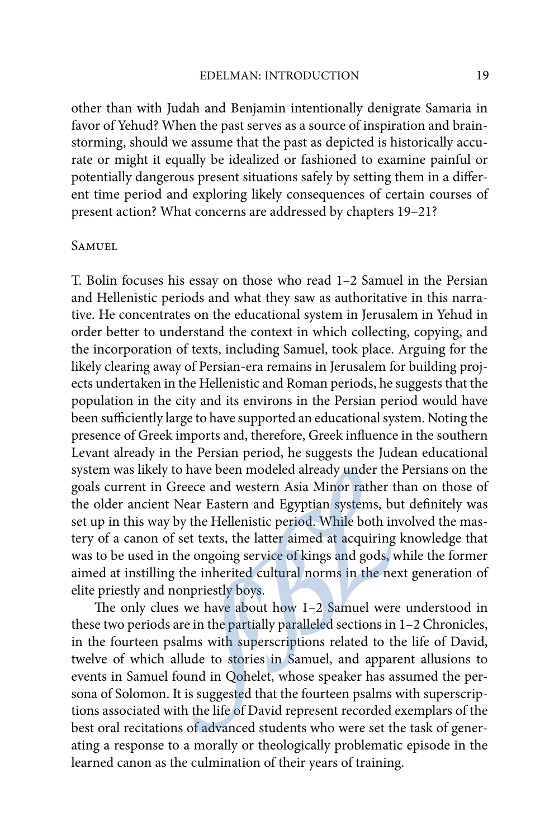other than with Judah and Benjamin intentionally denigrate Samaria in favor of Yehud? When the past serves as a source of inspiration and brainstorming, should we assume that the past as depicted is historically accurate or might it equally be idealized or fashioned to examine painful or potentially dangerous present situations safely by setting them in a different time period and exploring likely consequences of certain courses of present action? What concerns are addressed by chapters 19–21?

#### SAMUEL

T. Bolin focuses his essay on those who read 1–2 Samuel in the Persian and Hellenistic periods and what they saw as authoritative in this narrative. He concentrates on the educational system in Jerusalem in Yehud in order better to understand the context in which collecting, copying, and the incorporation of texts, including Samuel, took place. Arguing for the likely clearing away of Persian-era remains in Jerusalem for building projects undertaken in the Hellenistic and Roman periods, he suggests that the population in the city and its environs in the Persian period would have been sufficiently large to have supported an educational system. Noting the presence of Greek imports and, therefore, Greek influence in the southern Levant already in the Persian period, he suggests the Judean educational system was likely to have been modeled already under the Persians on the goals current in Greece and western Asia Minor rather than on those of the older ancient Near Eastern and Egyptian systems, but definitely was set up in this way by the Hellenistic period. While both involved the mastery of a canon of set texts, the latter aimed at acquiring knowledge that was to be used in the ongoing service of kings and gods, while the former aimed at instilling the inherited cultural norms in the next generation of elite priestly and nonpriestly boys.

The only clues we have about how 1–2 Samuel were understood in these two periods are in the partially paralleled sections in 1–2 Chronicles, in the fourteen psalms with superscriptions related to the life of David, twelve of which allude to stories in Samuel, and apparent allusions to events in Samuel found in Qohelet, whose speaker has assumed the persona of Solomon. It is suggested that the fourteen psalms with superscriptions associated with the life of David represent recorded exemplars of the best oral recitations of advanced students who were set the task of generating a response to a morally or theologically problematic episode in the learned canon as the culmination of their years of training.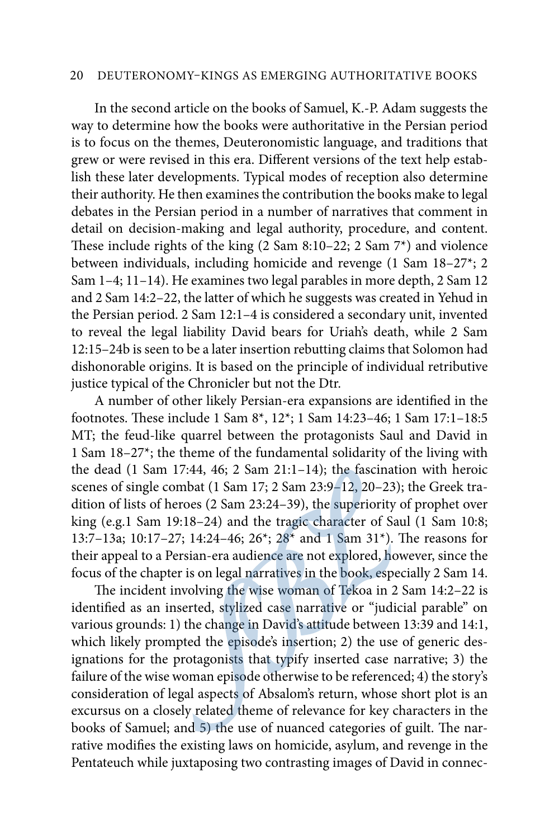In the second article on the books of Samuel, K.-P. Adam suggests the way to determine how the books were authoritative in the Persian period is to focus on the themes, Deuteronomistic language, and traditions that grew or were revised in this era. Different versions of the text help establish these later developments. Typical modes of reception also determine their authority. He then examines the contribution the books make to legal debates in the Persian period in a number of narratives that comment in detail on decision-making and legal authority, procedure, and content. These include rights of the king (2 Sam 8:10–22; 2 Sam 7\*) and violence between individuals, including homicide and revenge (1 Sam 18–27\*; 2 Sam 1–4; 11–14). He examines two legal parables in more depth, 2 Sam 12 and 2 Sam 14:2–22, the latter of which he suggests was created in Yehud in the Persian period. 2 Sam 12:1–4 is considered a secondary unit, invented to reveal the legal liability David bears for Uriah's death, while 2 Sam 12:15–24b is seen to be a later insertion rebutting claims that Solomon had dishonorable origins. It is based on the principle of individual retributive justice typical of the Chronicler but not the Dtr.

A number of other likely Persian-era expansions are identified in the footnotes. These include 1 Sam 8\*, 12\*; 1 Sam 14:23–46; 1 Sam 17:1–18:5 MT; the feud-like quarrel between the protagonists Saul and David in 1 Sam 18–27\*; the theme of the fundamental solidarity of the living with the dead (1 Sam 17:44, 46; 2 Sam 21:1–14); the fascination with heroic scenes of single combat (1 Sam 17; 2 Sam 23:9–12, 20–23); the Greek tradition of lists of heroes (2 Sam 23:24–39), the superiority of prophet over king (e.g.1 Sam 19:18–24) and the tragic character of Saul (1 Sam 10:8; 13:7–13a; 10:17–27; 14:24–46; 26\*; 28\* and 1 Sam 31\*). The reasons for their appeal to a Persian-era audience are not explored, however, since the focus of the chapter is on legal narratives in the book, especially 2 Sam 14.

The incident involving the wise woman of Tekoa in 2 Sam 14:2–22 is identified as an inserted, stylized case narrative or "judicial parable" on various grounds: 1) the change in David's attitude between 13:39 and 14:1, which likely prompted the episode's insertion; 2) the use of generic designations for the protagonists that typify inserted case narrative; 3) the failure of the wise woman episode otherwise to be referenced; 4) the story's consideration of legal aspects of Absalom's return, whose short plot is an excursus on a closely related theme of relevance for key characters in the books of Samuel; and 5) the use of nuanced categories of guilt. The narrative modifies the existing laws on homicide, asylum, and revenge in the Pentateuch while juxtaposing two contrasting images of David in connec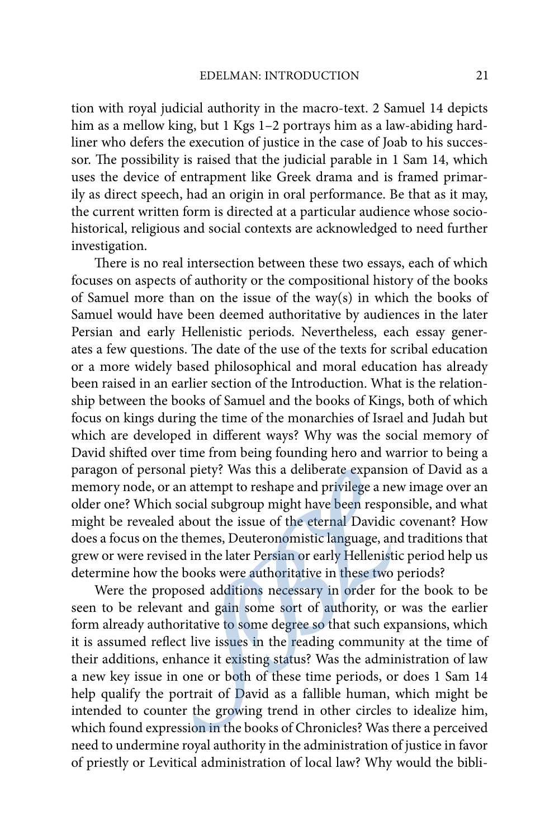tion with royal judicial authority in the macro-text. 2 Samuel 14 depicts him as a mellow king, but 1 Kgs 1-2 portrays him as a law-abiding hardliner who defers the execution of justice in the case of Joab to his successor. The possibility is raised that the judicial parable in 1 Sam 14, which uses the device of entrapment like Greek drama and is framed primarily as direct speech, had an origin in oral performance. Be that as it may, the current written form is directed at a particular audience whose sociohistorical, religious and social contexts are acknowledged to need further investigation.

There is no real intersection between these two essays, each of which focuses on aspects of authority or the compositional history of the books of Samuel more than on the issue of the way(s) in which the books of Samuel would have been deemed authoritative by audiences in the later Persian and early Hellenistic periods. Nevertheless, each essay generates a few questions. The date of the use of the texts for scribal education or a more widely based philosophical and moral education has already been raised in an earlier section of the Introduction. What is the relationship between the books of Samuel and the books of Kings, both of which focus on kings during the time of the monarchies of Israel and Judah but which are developed in different ways? Why was the social memory of David shifted over time from being founding hero and warrior to being a paragon of personal piety? Was this a deliberate expansion of David as a memory node, or an attempt to reshape and privilege a new image over an older one? Which social subgroup might have been responsible, and what might be revealed about the issue of the eternal Davidic covenant? How does a focus on the themes, Deuteronomistic language, and traditions that grew or were revised in the later Persian or early Hellenistic period help us determine how the books were authoritative in these two periods?

Were the proposed additions necessary in order for the book to be seen to be relevant and gain some sort of authority, or was the earlier form already authoritative to some degree so that such expansions, which it is assumed reflect live issues in the reading community at the time of their additions, enhance it existing status? Was the administration of law a new key issue in one or both of these time periods, or does 1 Sam 14 help qualify the portrait of David as a fallible human, which might be intended to counter the growing trend in other circles to idealize him, which found expression in the books of Chronicles? Was there a perceived need to undermine royal authority in the administration of justice in favor of priestly or Levitical administration of local law? Why would the bibli-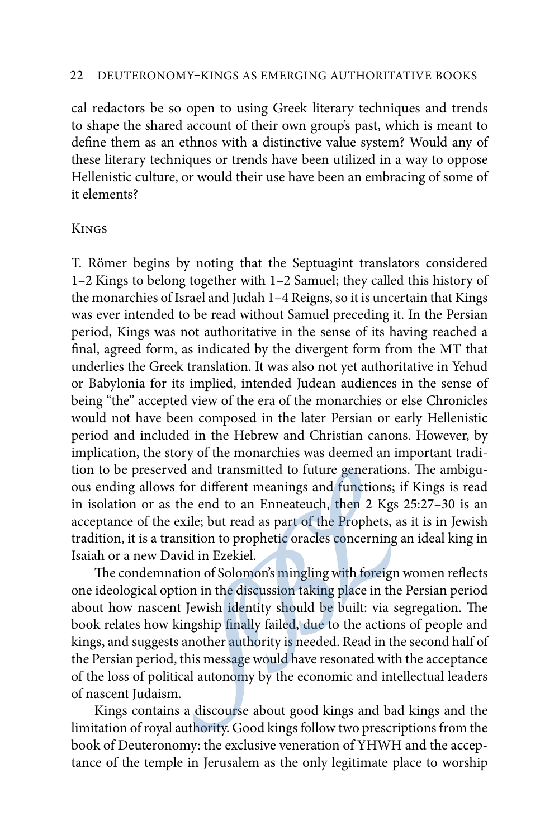cal redactors be so open to using Greek literary techniques and trends to shape the shared account of their own group's past, which is meant to define them as an ethnos with a distinctive value system? Would any of these literary techniques or trends have been utilized in a way to oppose Hellenistic culture, or would their use have been an embracing of some of it elements?

#### Kings

T. Römer begins by noting that the Septuagint translators considered 1–2 Kings to belong together with 1–2 Samuel; they called this history of the monarchies of Israel and Judah 1–4 Reigns, so it is uncertain that Kings was ever intended to be read without Samuel preceding it. In the Persian period, Kings was not authoritative in the sense of its having reached a final, agreed form, as indicated by the divergent form from the MT that underlies the Greek translation. It was also not yet authoritative in Yehud or Babylonia for its implied, intended Judean audiences in the sense of being "the" accepted view of the era of the monarchies or else Chronicles would not have been composed in the later Persian or early Hellenistic period and included in the Hebrew and Christian canons. However, by implication, the story of the monarchies was deemed an important tradition to be preserved and transmitted to future generations. The ambiguous ending allows for different meanings and functions; if Kings is read in isolation or as the end to an Enneateuch, then 2 Kgs 25:27–30 is an acceptance of the exile; but read as part of the Prophets, as it is in Jewish tradition, it is a transition to prophetic oracles concerning an ideal king in Isaiah or a new David in Ezekiel.

The condemnation of Solomon's mingling with foreign women reflects one ideological option in the discussion taking place in the Persian period about how nascent Jewish identity should be built: via segregation. The book relates how kingship finally failed, due to the actions of people and kings, and suggests another authority is needed. Read in the second half of the Persian period, this message would have resonated with the acceptance of the loss of political autonomy by the economic and intellectual leaders of nascent Judaism.

Kings contains a discourse about good kings and bad kings and the limitation of royal authority. Good kings follow two prescriptions from the book of Deuteronomy: the exclusive veneration of YHWH and the acceptance of the temple in Jerusalem as the only legitimate place to worship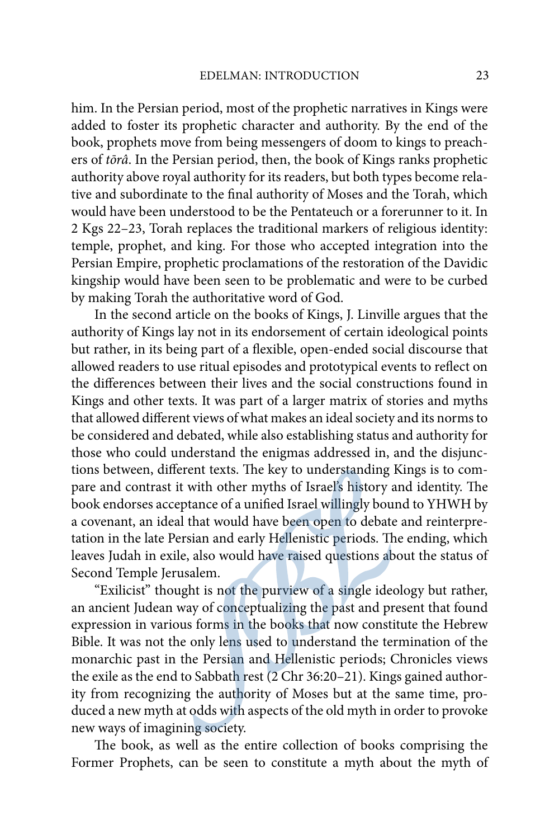him. In the Persian period, most of the prophetic narratives in Kings were added to foster its prophetic character and authority. By the end of the book, prophets move from being messengers of doom to kings to preachers of *tōrâ*. In the Persian period, then, the book of Kings ranks prophetic authority above royal authority for its readers, but both types become relative and subordinate to the final authority of Moses and the Torah, which would have been understood to be the Pentateuch or a forerunner to it. In 2 Kgs 22–23, Torah replaces the traditional markers of religious identity: temple, prophet, and king. For those who accepted integration into the Persian Empire, prophetic proclamations of the restoration of the Davidic kingship would have been seen to be problematic and were to be curbed by making Torah the authoritative word of God.

In the second article on the books of Kings, J. Linville argues that the authority of Kings lay not in its endorsement of certain ideological points but rather, in its being part of a flexible, open-ended social discourse that allowed readers to use ritual episodes and prototypical events to reflect on the differences between their lives and the social constructions found in Kings and other texts. It was part of a larger matrix of stories and myths that allowed different views of what makes an ideal society and its norms to be considered and debated, while also establishing status and authority for those who could understand the enigmas addressed in, and the disjunctions between, different texts. The key to understanding Kings is to compare and contrast it with other myths of Israel's history and identity. The book endorses acceptance of a unified Israel willingly bound to YHWH by a covenant, an ideal that would have been open to debate and reinterpretation in the late Persian and early Hellenistic periods. The ending, which leaves Judah in exile, also would have raised questions about the status of Second Temple Jerusalem.

"Exilicist" thought is not the purview of a single ideology but rather, an ancient Judean way of conceptualizing the past and present that found expression in various forms in the books that now constitute the Hebrew Bible. It was not the only lens used to understand the termination of the monarchic past in the Persian and Hellenistic periods; Chronicles views the exile as the end to Sabbath rest (2 Chr 36:20–21). Kings gained authority from recognizing the authority of Moses but at the same time, produced a new myth at odds with aspects of the old myth in order to provoke new ways of imagining society.

The book, as well as the entire collection of books comprising the Former Prophets, can be seen to constitute a myth about the myth of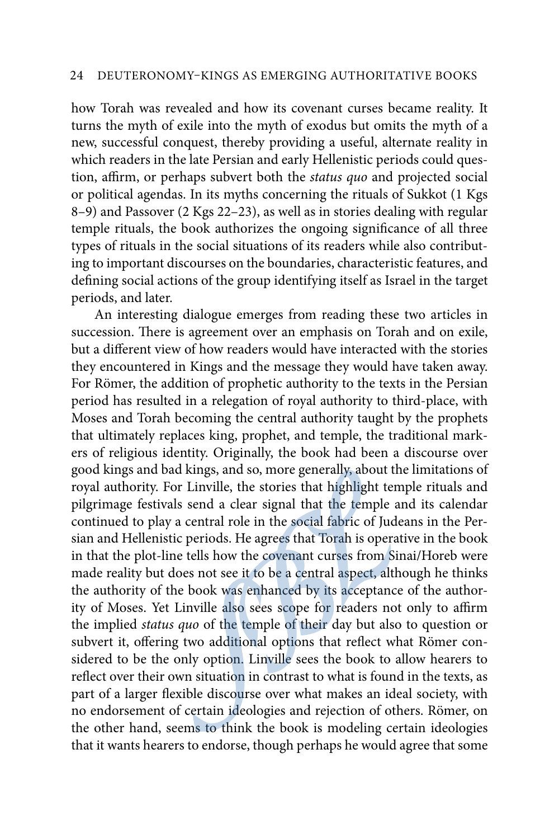how Torah was revealed and how its covenant curses became reality. It turns the myth of exile into the myth of exodus but omits the myth of a new, successful conquest, thereby providing a useful, alternate reality in which readers in the late Persian and early Hellenistic periods could question, affirm, or perhaps subvert both the *status quo* and projected social or political agendas. In its myths concerning the rituals of Sukkot (1 Kgs 8–9) and Passover (2 Kgs 22–23), as well as in stories dealing with regular temple rituals, the book authorizes the ongoing significance of all three types of rituals in the social situations of its readers while also contributing to important discourses on the boundaries, characteristic features, and defining social actions of the group identifying itself as Israel in the target periods, and later.

An interesting dialogue emerges from reading these two articles in succession. There is agreement over an emphasis on Torah and on exile, but a different view of how readers would have interacted with the stories they encountered in Kings and the message they would have taken away. For Römer, the addition of prophetic authority to the texts in the Persian period has resulted in a relegation of royal authority to third-place, with Moses and Torah becoming the central authority taught by the prophets that ultimately replaces king, prophet, and temple, the traditional markers of religious identity. Originally, the book had been a discourse over good kings and bad kings, and so, more generally, about the limitations of royal authority. For Linville, the stories that highlight temple rituals and pilgrimage festivals send a clear signal that the temple and its calendar continued to play a central role in the social fabric of Judeans in the Persian and Hellenistic periods. He agrees that Torah is operative in the book in that the plot-line tells how the covenant curses from Sinai/Horeb were made reality but does not see it to be a central aspect, although he thinks the authority of the book was enhanced by its acceptance of the authority of Moses. Yet Linville also sees scope for readers not only to affirm the implied *status quo* of the temple of their day but also to question or subvert it, offering two additional options that reflect what Römer considered to be the only option. Linville sees the book to allow hearers to reflect over their own situation in contrast to what is found in the texts, as part of a larger flexible discourse over what makes an ideal society, with no endorsement of certain ideologies and rejection of others. Römer, on the other hand, seems to think the book is modeling certain ideologies that it wants hearers to endorse, though perhaps he would agree that some